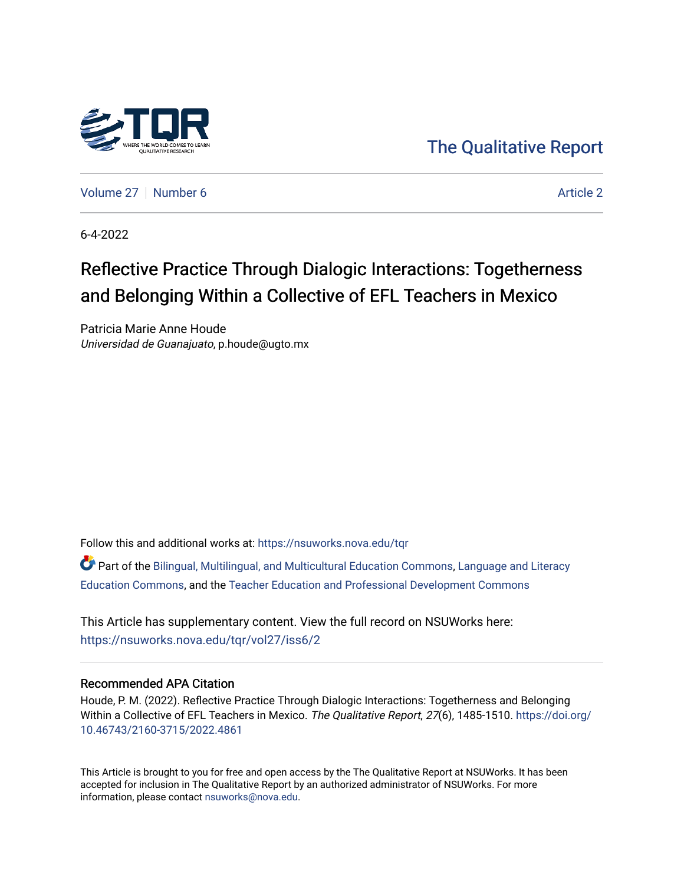

[The Qualitative Report](https://nsuworks.nova.edu/tqr) 

[Volume 27](https://nsuworks.nova.edu/tqr/vol27) [Number 6](https://nsuworks.nova.edu/tqr/vol27/iss6) [Article 2](https://nsuworks.nova.edu/tqr/vol27/iss6/2) Article 2

6-4-2022

# Reflective Practice Through Dialogic Interactions: Togetherness and Belonging Within a Collective of EFL Teachers in Mexico

Patricia Marie Anne Houde Universidad de Guanajuato, p.houde@ugto.mx

Follow this and additional works at: [https://nsuworks.nova.edu/tqr](https://nsuworks.nova.edu/tqr?utm_source=nsuworks.nova.edu%2Ftqr%2Fvol27%2Fiss6%2F2&utm_medium=PDF&utm_campaign=PDFCoverPages) 

Part of the [Bilingual, Multilingual, and Multicultural Education Commons,](https://network.bepress.com/hgg/discipline/785?utm_source=nsuworks.nova.edu%2Ftqr%2Fvol27%2Fiss6%2F2&utm_medium=PDF&utm_campaign=PDFCoverPages) [Language and Literacy](https://network.bepress.com/hgg/discipline/1380?utm_source=nsuworks.nova.edu%2Ftqr%2Fvol27%2Fiss6%2F2&utm_medium=PDF&utm_campaign=PDFCoverPages) [Education Commons,](https://network.bepress.com/hgg/discipline/1380?utm_source=nsuworks.nova.edu%2Ftqr%2Fvol27%2Fiss6%2F2&utm_medium=PDF&utm_campaign=PDFCoverPages) and the [Teacher Education and Professional Development Commons](https://network.bepress.com/hgg/discipline/803?utm_source=nsuworks.nova.edu%2Ftqr%2Fvol27%2Fiss6%2F2&utm_medium=PDF&utm_campaign=PDFCoverPages)

This Article has supplementary content. View the full record on NSUWorks here: <https://nsuworks.nova.edu/tqr/vol27/iss6/2>

# Recommended APA Citation

Houde, P. M. (2022). Reflective Practice Through Dialogic Interactions: Togetherness and Belonging Within a Collective of EFL Teachers in Mexico. The Qualitative Report, 27(6), 1485-1510. [https://doi.org/](https://doi.org/10.46743/2160-3715/2022.4861) [10.46743/2160-3715/2022.4861](https://doi.org/10.46743/2160-3715/2022.4861)

This Article is brought to you for free and open access by the The Qualitative Report at NSUWorks. It has been accepted for inclusion in The Qualitative Report by an authorized administrator of NSUWorks. For more information, please contact [nsuworks@nova.edu.](mailto:nsuworks@nova.edu)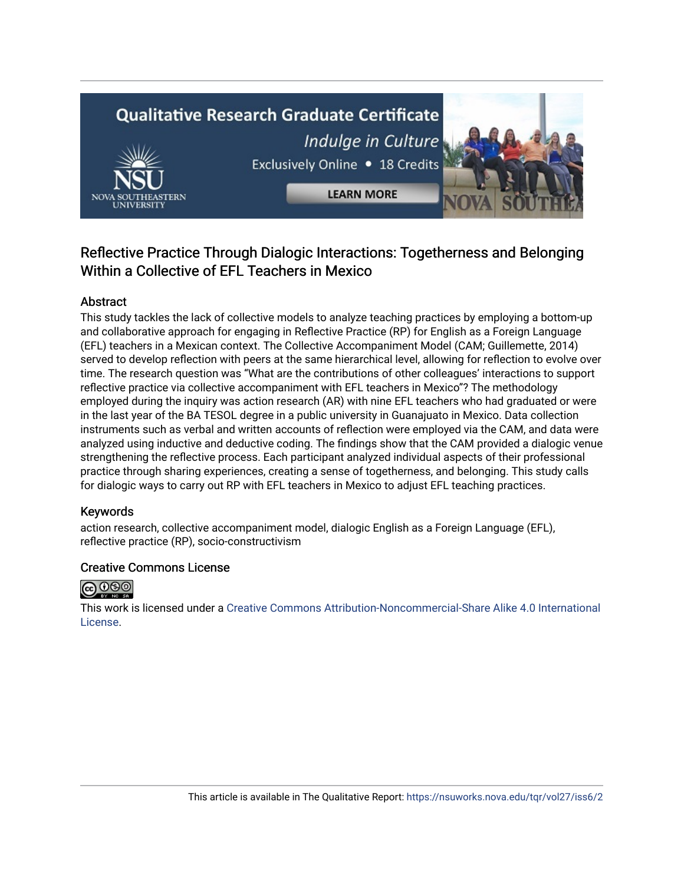# **Qualitative Research Graduate Certificate** Indulge in Culture Exclusively Online . 18 Credits



# Reflective Practice Through Dialogic Interactions: Togetherness and Belonging Within a Collective of EFL Teachers in Mexico

**LEARN MORE** 

# Abstract

This study tackles the lack of collective models to analyze teaching practices by employing a bottom-up and collaborative approach for engaging in Reflective Practice (RP) for English as a Foreign Language (EFL) teachers in a Mexican context. The Collective Accompaniment Model (CAM; Guillemette, 2014) served to develop reflection with peers at the same hierarchical level, allowing for reflection to evolve over time. The research question was "What are the contributions of other colleagues' interactions to support reflective practice via collective accompaniment with EFL teachers in Mexico"? The methodology employed during the inquiry was action research (AR) with nine EFL teachers who had graduated or were in the last year of the BA TESOL degree in a public university in Guanajuato in Mexico. Data collection instruments such as verbal and written accounts of reflection were employed via the CAM, and data were analyzed using inductive and deductive coding. The findings show that the CAM provided a dialogic venue strengthening the reflective process. Each participant analyzed individual aspects of their professional practice through sharing experiences, creating a sense of togetherness, and belonging. This study calls for dialogic ways to carry out RP with EFL teachers in Mexico to adjust EFL teaching practices.

# Keywords

action research, collective accompaniment model, dialogic English as a Foreign Language (EFL), reflective practice (RP), socio-constructivism

# Creative Commons License



This work is licensed under a [Creative Commons Attribution-Noncommercial-Share Alike 4.0 International](https://creativecommons.org/licenses/by-nc-sa/4.0/)  [License](https://creativecommons.org/licenses/by-nc-sa/4.0/).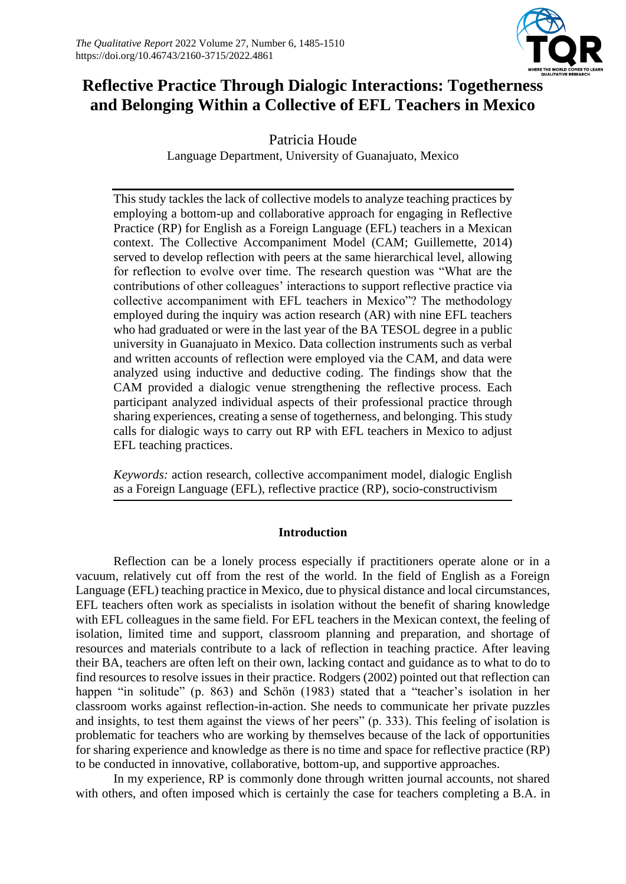

# **Reflective Practice Through Dialogic Interactions: Togetherness and Belonging Within a Collective of EFL Teachers in Mexico**

Patricia Houde Language Department, University of Guanajuato, Mexico

This study tackles the lack of collective models to analyze teaching practices by employing a bottom-up and collaborative approach for engaging in Reflective Practice (RP) for English as a Foreign Language (EFL) teachers in a Mexican context. The Collective Accompaniment Model (CAM; Guillemette, 2014) served to develop reflection with peers at the same hierarchical level, allowing for reflection to evolve over time. The research question was "What are the contributions of other colleagues' interactions to support reflective practice via collective accompaniment with EFL teachers in Mexico"? The methodology employed during the inquiry was action research (AR) with nine EFL teachers who had graduated or were in the last year of the BA TESOL degree in a public university in Guanajuato in Mexico. Data collection instruments such as verbal and written accounts of reflection were employed via the CAM, and data were analyzed using inductive and deductive coding. The findings show that the CAM provided a dialogic venue strengthening the reflective process. Each participant analyzed individual aspects of their professional practice through sharing experiences, creating a sense of togetherness, and belonging. This study calls for dialogic ways to carry out RP with EFL teachers in Mexico to adjust EFL teaching practices.

*Keywords:* action research, collective accompaniment model, dialogic English as a Foreign Language (EFL), reflective practice (RP), socio-constructivism

# **Introduction**

Reflection can be a lonely process especially if practitioners operate alone or in a vacuum, relatively cut off from the rest of the world. In the field of English as a Foreign Language (EFL) teaching practice in Mexico, due to physical distance and local circumstances, EFL teachers often work as specialists in isolation without the benefit of sharing knowledge with EFL colleagues in the same field. For EFL teachers in the Mexican context, the feeling of isolation, limited time and support, classroom planning and preparation, and shortage of resources and materials contribute to a lack of reflection in teaching practice. After leaving their BA, teachers are often left on their own, lacking contact and guidance as to what to do to find resources to resolve issues in their practice. Rodgers (2002) pointed out that reflection can happen "in solitude" (p. 863) and Schön (1983) stated that a "teacher's isolation in her classroom works against reflection-in-action. She needs to communicate her private puzzles and insights, to test them against the views of her peers" (p. 333). This feeling of isolation is problematic for teachers who are working by themselves because of the lack of opportunities for sharing experience and knowledge as there is no time and space for reflective practice (RP) to be conducted in innovative, collaborative, bottom-up, and supportive approaches.

In my experience, RP is commonly done through written journal accounts, not shared with others, and often imposed which is certainly the case for teachers completing a B.A. in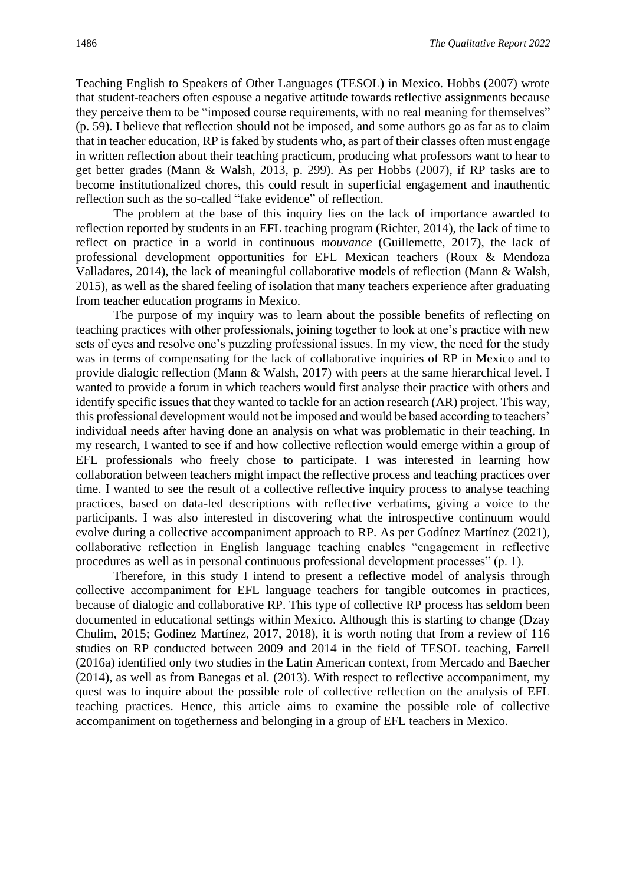Teaching English to Speakers of Other Languages (TESOL) in Mexico. Hobbs (2007) wrote that student-teachers often espouse a negative attitude towards reflective assignments because they perceive them to be "imposed course requirements, with no real meaning for themselves" (p. 59). I believe that reflection should not be imposed, and some authors go as far as to claim that in teacher education, RP is faked by students who, as part of their classes often must engage in written reflection about their teaching practicum, producing what professors want to hear to get better grades (Mann & Walsh, 2013, p. 299). As per Hobbs (2007), if RP tasks are to become institutionalized chores, this could result in superficial engagement and inauthentic reflection such as the so-called "fake evidence" of reflection.

The problem at the base of this inquiry lies on the lack of importance awarded to reflection reported by students in an EFL teaching program (Richter, 2014), the lack of time to reflect on practice in a world in continuous *mouvance* (Guillemette, 2017), the lack of professional development opportunities for EFL Mexican teachers (Roux & Mendoza Valladares, 2014), the lack of meaningful collaborative models of reflection (Mann & Walsh, 2015), as well as the shared feeling of isolation that many teachers experience after graduating from teacher education programs in Mexico.

The purpose of my inquiry was to learn about the possible benefits of reflecting on teaching practices with other professionals, joining together to look at one's practice with new sets of eyes and resolve one's puzzling professional issues. In my view, the need for the study was in terms of compensating for the lack of collaborative inquiries of RP in Mexico and to provide dialogic reflection (Mann & Walsh, 2017) with peers at the same hierarchical level. I wanted to provide a forum in which teachers would first analyse their practice with others and identify specific issues that they wanted to tackle for an action research (AR) project. This way, this professional development would not be imposed and would be based according to teachers' individual needs after having done an analysis on what was problematic in their teaching. In my research, I wanted to see if and how collective reflection would emerge within a group of EFL professionals who freely chose to participate. I was interested in learning how collaboration between teachers might impact the reflective process and teaching practices over time. I wanted to see the result of a collective reflective inquiry process to analyse teaching practices, based on data-led descriptions with reflective verbatims, giving a voice to the participants. I was also interested in discovering what the introspective continuum would evolve during a collective accompaniment approach to RP. As per Godínez Martínez (2021), collaborative reflection in English language teaching enables "engagement in reflective procedures as well as in personal continuous professional development processes" (p. 1).

Therefore, in this study I intend to present a reflective model of analysis through collective accompaniment for EFL language teachers for tangible outcomes in practices, because of dialogic and collaborative RP. This type of collective RP process has seldom been documented in educational settings within Mexico. Although this is starting to change (Dzay Chulim, 2015; Godinez Martínez, 2017, 2018), it is worth noting that from a review of 116 studies on RP conducted between 2009 and 2014 in the field of TESOL teaching, Farrell (2016a) identified only two studies in the Latin American context, from Mercado and Baecher (2014), as well as from Banegas et al. (2013). With respect to reflective accompaniment, my quest was to inquire about the possible role of collective reflection on the analysis of EFL teaching practices. Hence, this article aims to examine the possible role of collective accompaniment on togetherness and belonging in a group of EFL teachers in Mexico.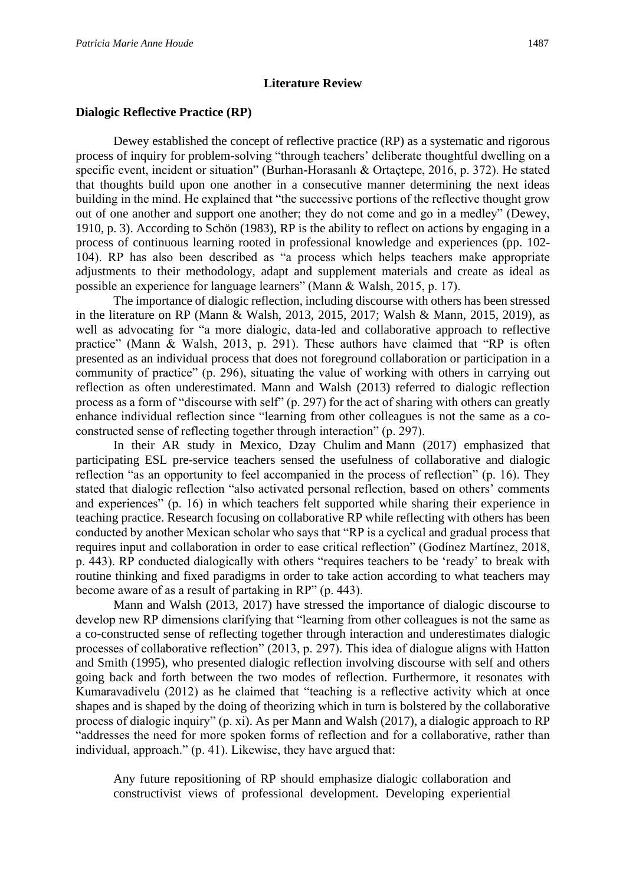# **Literature Review**

# **Dialogic Reflective Practice (RP)**

Dewey established the concept of reflective practice (RP) as a systematic and rigorous process of inquiry for problem-solving "through teachers' deliberate thoughtful dwelling on a specific event, incident or situation" (Burhan-Horasanlı & Ortaçtepe, 2016, p. 372). He stated that thoughts build upon one another in a consecutive manner determining the next ideas building in the mind. He explained that "the successive portions of the reflective thought grow out of one another and support one another; they do not come and go in a medley" (Dewey, 1910, p. 3). According to Schön (1983), RP is the ability to reflect on actions by engaging in a process of continuous learning rooted in professional knowledge and experiences (pp. 102- 104). RP has also been described as "a process which helps teachers make appropriate adjustments to their methodology, adapt and supplement materials and create as ideal as possible an experience for language learners" (Mann & Walsh, 2015, p. 17).

The importance of dialogic reflection, including discourse with others has been stressed in the literature on RP (Mann & Walsh, 2013, 2015, 2017; Walsh & Mann, 2015, 2019), as well as advocating for "a more dialogic, data-led and collaborative approach to reflective practice" (Mann & Walsh, 2013, p. 291). These authors have claimed that "RP is often presented as an individual process that does not foreground collaboration or participation in a community of practice" (p. 296), situating the value of working with others in carrying out reflection as often underestimated. Mann and Walsh (2013) referred to dialogic reflection process as a form of "discourse with self" (p. 297) for the act of sharing with others can greatly enhance individual reflection since "learning from other colleagues is not the same as a coconstructed sense of reflecting together through interaction" (p. 297).

In their AR study in Mexico, Dzay Chulim and Mann (2017) emphasized that participating ESL pre-service teachers sensed the usefulness of collaborative and dialogic reflection "as an opportunity to feel accompanied in the process of reflection" (p. 16). They stated that dialogic reflection "also activated personal reflection, based on others' comments and experiences" (p. 16) in which teachers felt supported while sharing their experience in teaching practice. Research focusing on collaborative RP while reflecting with others has been conducted by another Mexican scholar who says that "RP is a cyclical and gradual process that requires input and collaboration in order to ease critical reflection" (Godínez Martínez, 2018, p. 443). RP conducted dialogically with others "requires teachers to be 'ready' to break with routine thinking and fixed paradigms in order to take action according to what teachers may become aware of as a result of partaking in RP" (p. 443).

Mann and Walsh (2013, 2017) have stressed the importance of dialogic discourse to develop new RP dimensions clarifying that "learning from other colleagues is not the same as a co-constructed sense of reflecting together through interaction and underestimates dialogic processes of collaborative reflection" (2013, p. 297). This idea of dialogue aligns with Hatton and Smith (1995), who presented dialogic reflection involving discourse with self and others going back and forth between the two modes of reflection. Furthermore, it resonates with Kumaravadivelu (2012) as he claimed that "teaching is a reflective activity which at once shapes and is shaped by the doing of theorizing which in turn is bolstered by the collaborative process of dialogic inquiry" (p. xi). As per Mann and Walsh (2017), a dialogic approach to RP "addresses the need for more spoken forms of reflection and for a collaborative, rather than individual, approach." (p. 41). Likewise, they have argued that:

Any future repositioning of RP should emphasize dialogic collaboration and constructivist views of professional development. Developing experiential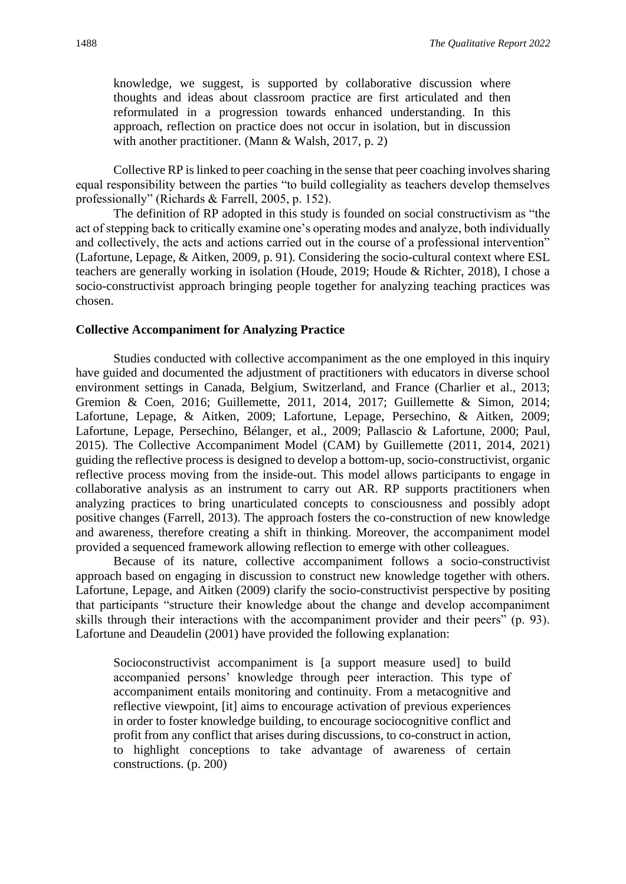knowledge, we suggest, is supported by collaborative discussion where thoughts and ideas about classroom practice are first articulated and then reformulated in a progression towards enhanced understanding. In this approach, reflection on practice does not occur in isolation, but in discussion with another practitioner. (Mann & Walsh, 2017, p. 2)

Collective RP is linked to peer coaching in the sense that peer coaching involves sharing equal responsibility between the parties "to build collegiality as teachers develop themselves professionally" (Richards & Farrell, 2005, p. 152).

The definition of RP adopted in this study is founded on social constructivism as "the act of stepping back to critically examine one's operating modes and analyze, both individually and collectively, the acts and actions carried out in the course of a professional intervention" (Lafortune, Lepage, & Aitken, 2009, p. 91). Considering the socio-cultural context where ESL teachers are generally working in isolation (Houde, 2019; Houde & Richter, 2018), I chose a socio-constructivist approach bringing people together for analyzing teaching practices was chosen.

### **Collective Accompaniment for Analyzing Practice**

Studies conducted with collective accompaniment as the one employed in this inquiry have guided and documented the adjustment of practitioners with educators in diverse school environment settings in Canada, Belgium, Switzerland, and France (Charlier et al., 2013; Gremion & Coen, 2016; Guillemette, 2011, 2014, 2017; Guillemette & Simon, 2014; Lafortune, Lepage, & Aitken, 2009; Lafortune, Lepage, Persechino, & Aitken, 2009; Lafortune, Lepage, Persechino, Bélanger, et al., 2009; Pallascio & Lafortune, 2000; Paul, 2015). The Collective Accompaniment Model (CAM) by Guillemette (2011, 2014, 2021) guiding the reflective process is designed to develop a bottom-up, socio-constructivist, organic reflective process moving from the inside-out. This model allows participants to engage in collaborative analysis as an instrument to carry out AR. RP supports practitioners when analyzing practices to bring unarticulated concepts to consciousness and possibly adopt positive changes (Farrell, 2013). The approach fosters the co-construction of new knowledge and awareness, therefore creating a shift in thinking. Moreover, the accompaniment model provided a sequenced framework allowing reflection to emerge with other colleagues.

Because of its nature, collective accompaniment follows a socio-constructivist approach based on engaging in discussion to construct new knowledge together with others. Lafortune, Lepage, and Aitken (2009) clarify the socio-constructivist perspective by positing that participants "structure their knowledge about the change and develop accompaniment skills through their interactions with the accompaniment provider and their peers" (p. 93). Lafortune and Deaudelin (2001) have provided the following explanation:

Socioconstructivist accompaniment is [a support measure used] to build accompanied persons' knowledge through peer interaction. This type of accompaniment entails monitoring and continuity. From a metacognitive and reflective viewpoint, [it] aims to encourage activation of previous experiences in order to foster knowledge building, to encourage sociocognitive conflict and profit from any conflict that arises during discussions, to co-construct in action, to highlight conceptions to take advantage of awareness of certain constructions. (p. 200)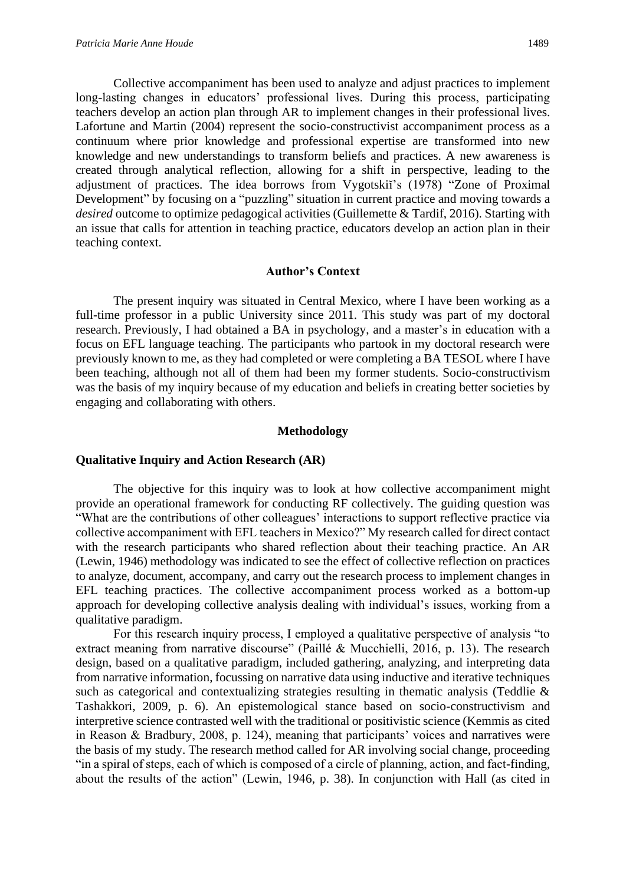Collective accompaniment has been used to analyze and adjust practices to implement long-lasting changes in educators' professional lives. During this process, participating teachers develop an action plan through AR to implement changes in their professional lives. Lafortune and Martin (2004) represent the socio-constructivist accompaniment process as a continuum where prior knowledge and professional expertise are transformed into new knowledge and new understandings to transform beliefs and practices. A new awareness is created through analytical reflection, allowing for a shift in perspective, leading to the adjustment of practices. The idea borrows from Vygotskiĭ's (1978) "Zone of Proximal Development" by focusing on a "puzzling" situation in current practice and moving towards a *desired* outcome to optimize pedagogical activities (Guillemette & Tardif, 2016). Starting with an issue that calls for attention in teaching practice, educators develop an action plan in their teaching context.

# **Author's Context**

The present inquiry was situated in Central Mexico, where I have been working as a full-time professor in a public University since 2011. This study was part of my doctoral research. Previously, I had obtained a BA in psychology, and a master's in education with a focus on EFL language teaching. The participants who partook in my doctoral research were previously known to me, as they had completed or were completing a BA TESOL where I have been teaching, although not all of them had been my former students. Socio-constructivism was the basis of my inquiry because of my education and beliefs in creating better societies by engaging and collaborating with others.

#### **Methodology**

# **Qualitative Inquiry and Action Research (AR)**

The objective for this inquiry was to look at how collective accompaniment might provide an operational framework for conducting RF collectively. The guiding question was "What are the contributions of other colleagues' interactions to support reflective practice via collective accompaniment with EFL teachers in Mexico?" My research called for direct contact with the research participants who shared reflection about their teaching practice. An AR (Lewin, 1946) methodology was indicated to see the effect of collective reflection on practices to analyze, document, accompany, and carry out the research process to implement changes in EFL teaching practices. The collective accompaniment process worked as a bottom-up approach for developing collective analysis dealing with individual's issues, working from a qualitative paradigm.

For this research inquiry process, I employed a qualitative perspective of analysis "to extract meaning from narrative discourse" (Paillé & Mucchielli, 2016, p. 13). The research design, based on a qualitative paradigm, included gathering, analyzing, and interpreting data from narrative information, focussing on narrative data using inductive and iterative techniques such as categorical and contextualizing strategies resulting in thematic analysis (Teddlie & Tashakkori, 2009, p. 6). An epistemological stance based on socio-constructivism and interpretive science contrasted well with the traditional or positivistic science (Kemmis as cited in Reason & Bradbury, 2008, p. 124), meaning that participants' voices and narratives were the basis of my study. The research method called for AR involving social change, proceeding "in a spiral of steps, each of which is composed of a circle of planning, action, and fact-finding, about the results of the action" (Lewin, 1946, p. 38). In conjunction with Hall (as cited in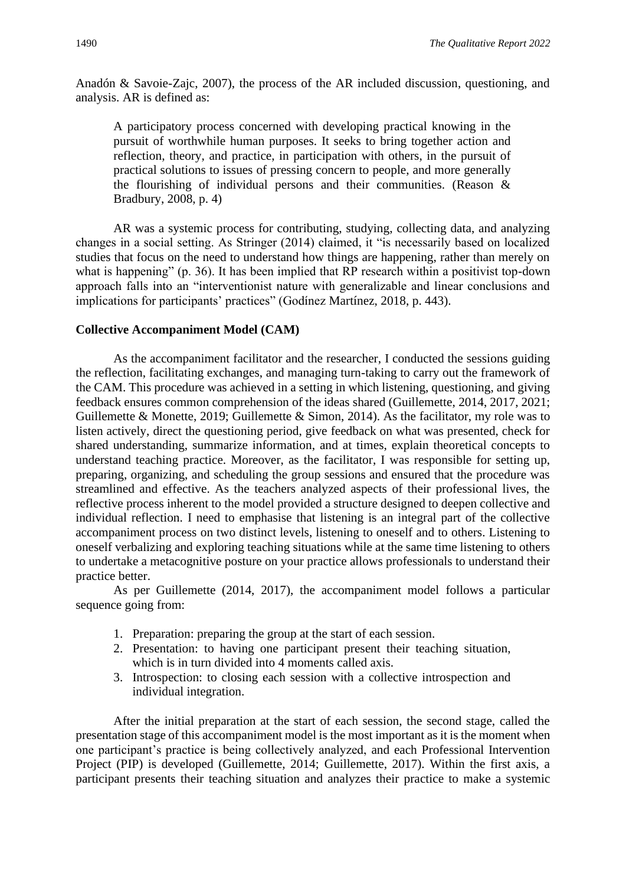Anadón & Savoie-Zajc, 2007), the process of the AR included discussion, questioning, and analysis. AR is defined as:

A participatory process concerned with developing practical knowing in the pursuit of worthwhile human purposes. It seeks to bring together action and reflection, theory, and practice, in participation with others, in the pursuit of practical solutions to issues of pressing concern to people, and more generally the flourishing of individual persons and their communities. (Reason & Bradbury, 2008, p. 4)

AR was a systemic process for contributing, studying, collecting data, and analyzing changes in a social setting. As Stringer (2014) claimed, it "is necessarily based on localized studies that focus on the need to understand how things are happening, rather than merely on what is happening" (p. 36). It has been implied that RP research within a positivist top-down approach falls into an "interventionist nature with generalizable and linear conclusions and implications for participants' practices" (Godínez Martínez, 2018, p. 443).

# **Collective Accompaniment Model (CAM)**

As the accompaniment facilitator and the researcher, I conducted the sessions guiding the reflection, facilitating exchanges, and managing turn-taking to carry out the framework of the CAM. This procedure was achieved in a setting in which listening, questioning, and giving feedback ensures common comprehension of the ideas shared (Guillemette, 2014, 2017, 2021; Guillemette & Monette, 2019; Guillemette & Simon, 2014). As the facilitator, my role was to listen actively, direct the questioning period, give feedback on what was presented, check for shared understanding, summarize information, and at times, explain theoretical concepts to understand teaching practice. Moreover, as the facilitator, I was responsible for setting up, preparing, organizing, and scheduling the group sessions and ensured that the procedure was streamlined and effective. As the teachers analyzed aspects of their professional lives, the reflective process inherent to the model provided a structure designed to deepen collective and individual reflection. I need to emphasise that listening is an integral part of the collective accompaniment process on two distinct levels, listening to oneself and to others. Listening to oneself verbalizing and exploring teaching situations while at the same time listening to others to undertake a metacognitive posture on your practice allows professionals to understand their practice better.

As per Guillemette (2014, 2017), the accompaniment model follows a particular sequence going from:

- 1. Preparation: preparing the group at the start of each session.
- 2. Presentation: to having one participant present their teaching situation, which is in turn divided into 4 moments called axis.
- 3. Introspection: to closing each session with a collective introspection and individual integration.

After the initial preparation at the start of each session, the second stage, called the presentation stage of this accompaniment model is the most important as it is the moment when one participant's practice is being collectively analyzed, and each Professional Intervention Project (PIP) is developed (Guillemette, 2014; Guillemette, 2017). Within the first axis, a participant presents their teaching situation and analyzes their practice to make a systemic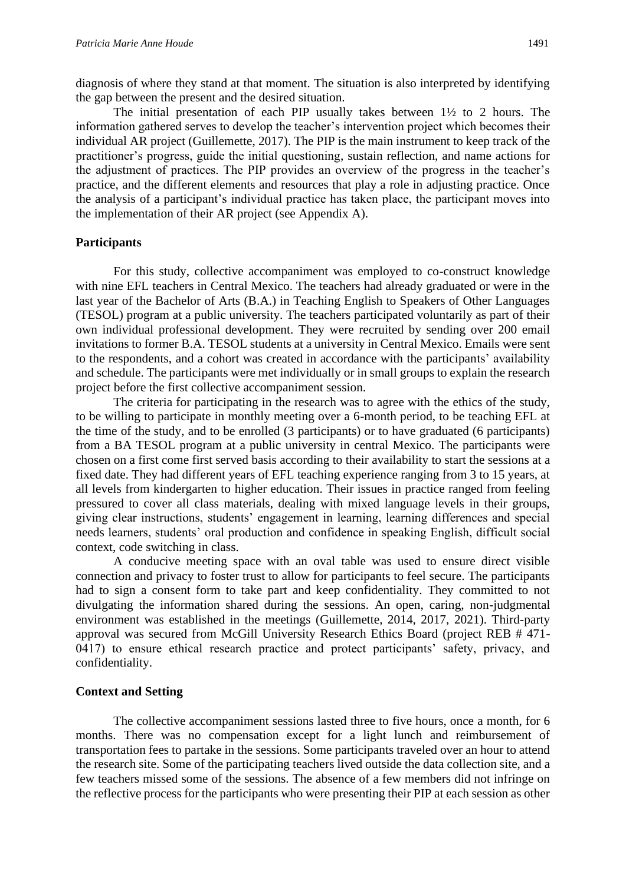diagnosis of where they stand at that moment. The situation is also interpreted by identifying the gap between the present and the desired situation.

The initial presentation of each PIP usually takes between 1½ to 2 hours. The information gathered serves to develop the teacher's intervention project which becomes their individual AR project (Guillemette, 2017). The PIP is the main instrument to keep track of the practitioner's progress, guide the initial questioning, sustain reflection, and name actions for the adjustment of practices. The PIP provides an overview of the progress in the teacher's practice, and the different elements and resources that play a role in adjusting practice. Once the analysis of a participant's individual practice has taken place, the participant moves into the implementation of their AR project (see Appendix A).

# **Participants**

For this study, collective accompaniment was employed to co-construct knowledge with nine EFL teachers in Central Mexico. The teachers had already graduated or were in the last year of the Bachelor of Arts (B.A.) in Teaching English to Speakers of Other Languages (TESOL) program at a public university. The teachers participated voluntarily as part of their own individual professional development. They were recruited by sending over 200 email invitations to former B.A. TESOL students at a university in Central Mexico. Emails were sent to the respondents, and a cohort was created in accordance with the participants' availability and schedule. The participants were met individually or in small groups to explain the research project before the first collective accompaniment session.

The criteria for participating in the research was to agree with the ethics of the study, to be willing to participate in monthly meeting over a 6-month period, to be teaching EFL at the time of the study, and to be enrolled (3 participants) or to have graduated (6 participants) from a BA TESOL program at a public university in central Mexico. The participants were chosen on a first come first served basis according to their availability to start the sessions at a fixed date. They had different years of EFL teaching experience ranging from 3 to 15 years, at all levels from kindergarten to higher education. Their issues in practice ranged from feeling pressured to cover all class materials, dealing with mixed language levels in their groups, giving clear instructions, students' engagement in learning, learning differences and special needs learners, students' oral production and confidence in speaking English, difficult social context, code switching in class.

A conducive meeting space with an oval table was used to ensure direct visible connection and privacy to foster trust to allow for participants to feel secure. The participants had to sign a consent form to take part and keep confidentiality. They committed to not divulgating the information shared during the sessions. An open, caring, non-judgmental environment was established in the meetings (Guillemette, 2014, 2017, 2021). Third-party approval was secured from McGill University Research Ethics Board (project REB # 471- 0417) to ensure ethical research practice and protect participants' safety, privacy, and confidentiality.

#### **Context and Setting**

The collective accompaniment sessions lasted three to five hours, once a month, for 6 months. There was no compensation except for a light lunch and reimbursement of transportation fees to partake in the sessions. Some participants traveled over an hour to attend the research site. Some of the participating teachers lived outside the data collection site, and a few teachers missed some of the sessions. The absence of a few members did not infringe on the reflective process for the participants who were presenting their PIP at each session as other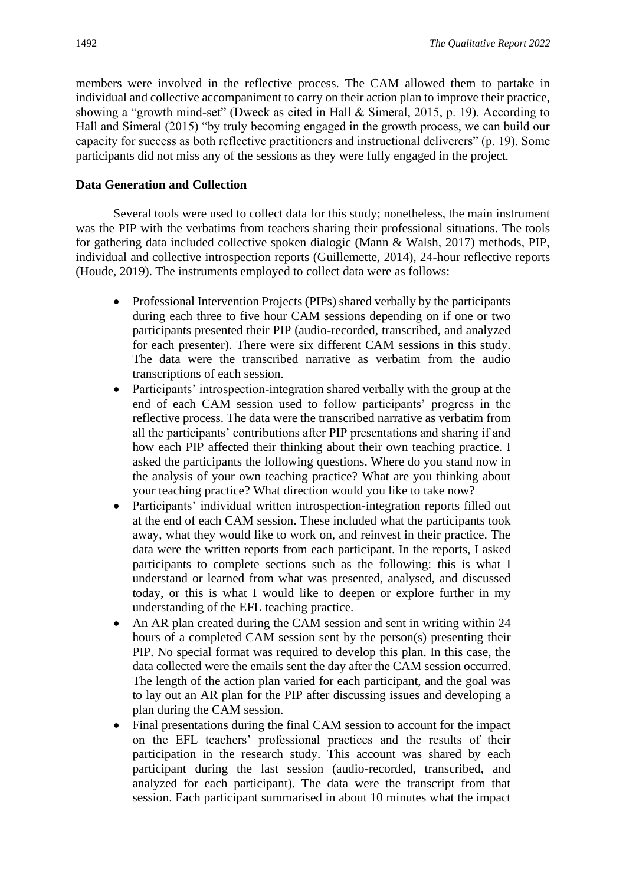members were involved in the reflective process. The CAM allowed them to partake in individual and collective accompaniment to carry on their action plan to improve their practice, showing a "growth mind-set" (Dweck as cited in Hall & Simeral, 2015, p. 19). According to Hall and Simeral (2015) "by truly becoming engaged in the growth process, we can build our capacity for success as both reflective practitioners and instructional deliverers" (p. 19). Some participants did not miss any of the sessions as they were fully engaged in the project.

# **Data Generation and Collection**

Several tools were used to collect data for this study; nonetheless, the main instrument was the PIP with the verbatims from teachers sharing their professional situations. The tools for gathering data included collective spoken dialogic (Mann & Walsh, 2017) methods, PIP, individual and collective introspection reports (Guillemette, 2014), 24-hour reflective reports (Houde, 2019). The instruments employed to collect data were as follows:

- Professional Intervention Projects (PIPs) shared verbally by the participants during each three to five hour CAM sessions depending on if one or two participants presented their PIP (audio-recorded, transcribed, and analyzed for each presenter). There were six different CAM sessions in this study. The data were the transcribed narrative as verbatim from the audio transcriptions of each session.
- Participants' introspection-integration shared verbally with the group at the end of each CAM session used to follow participants' progress in the reflective process. The data were the transcribed narrative as verbatim from all the participants' contributions after PIP presentations and sharing if and how each PIP affected their thinking about their own teaching practice. I asked the participants the following questions. Where do you stand now in the analysis of your own teaching practice? What are you thinking about your teaching practice? What direction would you like to take now?
- Participants' individual written introspection-integration reports filled out at the end of each CAM session. These included what the participants took away, what they would like to work on, and reinvest in their practice. The data were the written reports from each participant. In the reports, I asked participants to complete sections such as the following: this is what I understand or learned from what was presented, analysed, and discussed today, or this is what I would like to deepen or explore further in my understanding of the EFL teaching practice.
- An AR plan created during the CAM session and sent in writing within 24 hours of a completed CAM session sent by the person(s) presenting their PIP. No special format was required to develop this plan. In this case, the data collected were the emails sent the day after the CAM session occurred. The length of the action plan varied for each participant, and the goal was to lay out an AR plan for the PIP after discussing issues and developing a plan during the CAM session.
- Final presentations during the final CAM session to account for the impact on the EFL teachers' professional practices and the results of their participation in the research study. This account was shared by each participant during the last session (audio-recorded, transcribed, and analyzed for each participant). The data were the transcript from that session. Each participant summarised in about 10 minutes what the impact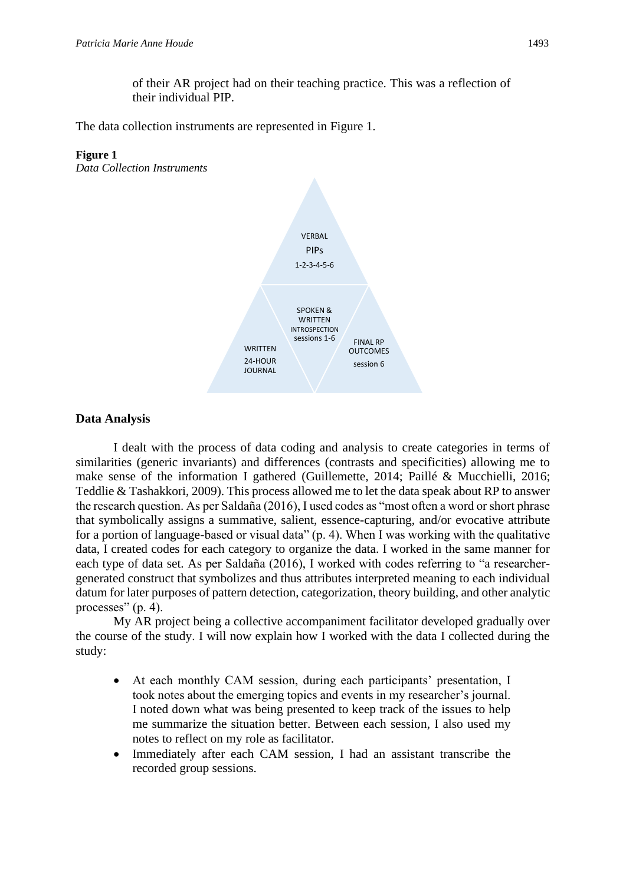of their AR project had on their teaching practice. This was a reflection of their individual PIP.

The data collection instruments are represented in Figure 1.

# **Figure 1**

*Data Collection Instruments*



# **Data Analysis**

I dealt with the process of data coding and analysis to create categories in terms of similarities (generic invariants) and differences (contrasts and specificities) allowing me to make sense of the information I gathered (Guillemette, 2014; Paillé & Mucchielli, 2016; Teddlie & Tashakkori, 2009). This process allowed me to let the data speak about RP to answer the research question. As per Saldaña (2016), I used codes as "most often a word or short phrase that symbolically assigns a summative, salient, essence-capturing, and/or evocative attribute for a portion of language-based or visual data" (p. 4). When I was working with the qualitative data, I created codes for each category to organize the data. I worked in the same manner for each type of data set. As per Saldaña (2016), I worked with codes referring to "a researchergenerated construct that symbolizes and thus attributes interpreted meaning to each individual datum for later purposes of pattern detection, categorization, theory building, and other analytic processes" (p. 4).

My AR project being a collective accompaniment facilitator developed gradually over the course of the study. I will now explain how I worked with the data I collected during the study:

- At each monthly CAM session, during each participants' presentation, I took notes about the emerging topics and events in my researcher's journal. I noted down what was being presented to keep track of the issues to help me summarize the situation better. Between each session, I also used my notes to reflect on my role as facilitator.
- Immediately after each CAM session, I had an assistant transcribe the recorded group sessions.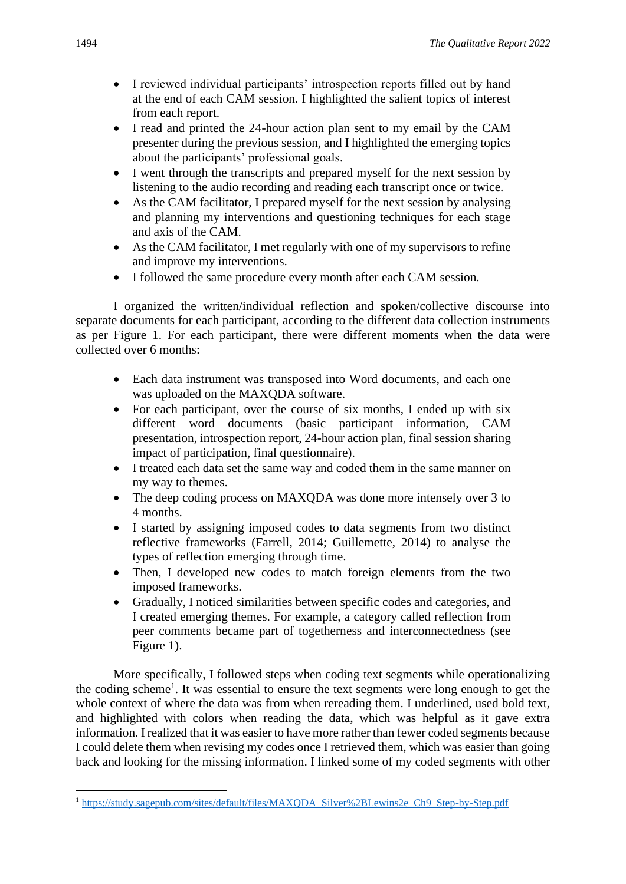- I reviewed individual participants' introspection reports filled out by hand at the end of each CAM session. I highlighted the salient topics of interest from each report.
- I read and printed the 24-hour action plan sent to my email by the CAM presenter during the previous session, and I highlighted the emerging topics about the participants' professional goals.
- I went through the transcripts and prepared myself for the next session by listening to the audio recording and reading each transcript once or twice.
- As the CAM facilitator, I prepared myself for the next session by analysing and planning my interventions and questioning techniques for each stage and axis of the CAM.
- As the CAM facilitator, I met regularly with one of my supervisors to refine and improve my interventions.
- I followed the same procedure every month after each CAM session.

I organized the written/individual reflection and spoken/collective discourse into separate documents for each participant, according to the different data collection instruments as per Figure 1. For each participant, there were different moments when the data were collected over 6 months:

- Each data instrument was transposed into Word documents, and each one was uploaded on the MAXQDA software.
- For each participant, over the course of six months, I ended up with six different word documents (basic participant information, CAM presentation, introspection report, 24-hour action plan, final session sharing impact of participation, final questionnaire).
- I treated each data set the same way and coded them in the same manner on my way to themes.
- The deep coding process on MAXQDA was done more intensely over 3 to 4 months.
- I started by assigning imposed codes to data segments from two distinct reflective frameworks (Farrell, 2014; Guillemette, 2014) to analyse the types of reflection emerging through time.
- Then, I developed new codes to match foreign elements from the two imposed frameworks.
- Gradually, I noticed similarities between specific codes and categories, and I created emerging themes. For example, a category called reflection from peer comments became part of togetherness and interconnectedness (see Figure 1).

More specifically, I followed steps when coding text segments while operationalizing the coding scheme<sup>1</sup>. It was essential to ensure the text segments were long enough to get the whole context of where the data was from when rereading them. I underlined, used bold text, and highlighted with colors when reading the data, which was helpful as it gave extra information. I realized that it was easier to have more rather than fewer coded segments because I could delete them when revising my codes once I retrieved them, which was easier than going back and looking for the missing information. I linked some of my coded segments with other

<sup>1</sup> [https://study.sagepub.com/sites/default/files/MAXQDA\\_Silver%2BLewins2e\\_Ch9\\_Step-by-Step.pdf](https://study.sagepub.com/sites/default/files/MAXQDA_Silver%2BLewins2e_Ch9_Step-by-Step.pdf)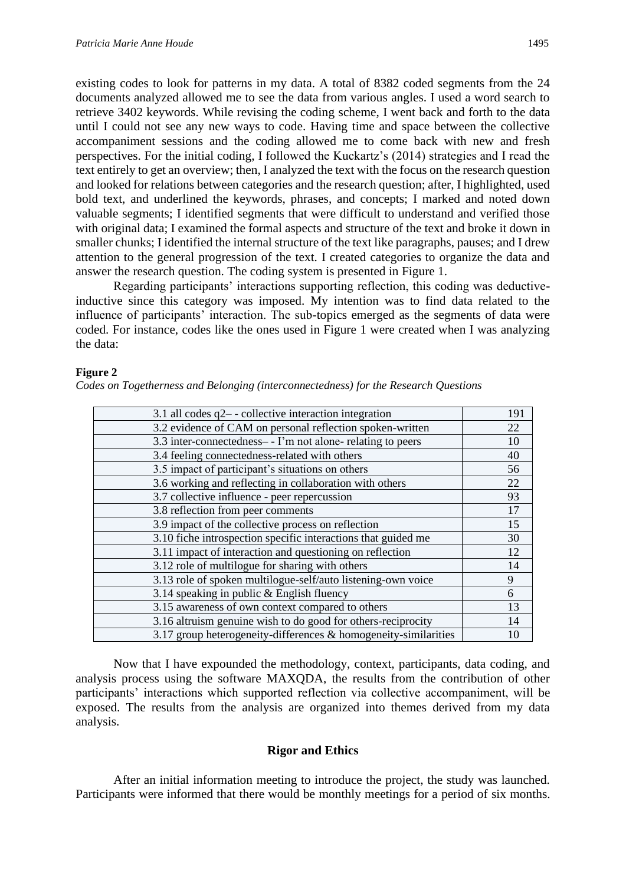existing codes to look for patterns in my data. A total of 8382 coded segments from the 24 documents analyzed allowed me to see the data from various angles. I used a word search to retrieve 3402 keywords. While revising the coding scheme, I went back and forth to the data until I could not see any new ways to code. Having time and space between the collective accompaniment sessions and the coding allowed me to come back with new and fresh perspectives. For the initial coding, I followed the Kuckartz's (2014) strategies and I read the text entirely to get an overview; then, I analyzed the text with the focus on the research question and looked for relations between categories and the research question; after, I highlighted, used bold text, and underlined the keywords, phrases, and concepts; I marked and noted down valuable segments; I identified segments that were difficult to understand and verified those with original data; I examined the formal aspects and structure of the text and broke it down in smaller chunks; I identified the internal structure of the text like paragraphs, pauses; and I drew attention to the general progression of the text. I created categories to organize the data and answer the research question. The coding system is presented in Figure 1.

Regarding participants' interactions supporting reflection, this coding was deductiveinductive since this category was imposed. My intention was to find data related to the influence of participants' interaction. The sub-topics emerged as the segments of data were coded. For instance, codes like the ones used in Figure 1 were created when I was analyzing the data:

# **Figure 2**

| 3.1 all codes $q2$ - collective interaction integration            | 191 |
|--------------------------------------------------------------------|-----|
| 3.2 evidence of CAM on personal reflection spoken-written          | 22  |
| 3.3 inter-connectedness- - I'm not alone- relating to peers        | 10  |
| 3.4 feeling connectedness-related with others                      | 40  |
| 3.5 impact of participant's situations on others                   | 56  |
| 3.6 working and reflecting in collaboration with others            | 22  |
| 3.7 collective influence - peer repercussion                       | 93  |
| 3.8 reflection from peer comments                                  | 17  |
| 3.9 impact of the collective process on reflection                 | 15  |
| 3.10 fiche introspection specific interactions that guided me      | 30  |
| 3.11 impact of interaction and questioning on reflection           | 12  |
| 3.12 role of multilogue for sharing with others                    | 14  |
| 3.13 role of spoken multilogue-self/auto listening-own voice       | 9   |
| 3.14 speaking in public $&$ English fluency                        | 6   |
| 3.15 awareness of own context compared to others                   | 13  |
| 3.16 altruism genuine wish to do good for others-reciprocity       | 14  |
| 3.17 group heterogeneity-differences $\&$ homogeneity-similarities | 10  |

*Codes on Togetherness and Belonging (interconnectedness) for the Research Questions*

Now that I have expounded the methodology, context, participants, data coding, and analysis process using the software MAXQDA, the results from the contribution of other participants' interactions which supported reflection via collective accompaniment, will be exposed. The results from the analysis are organized into themes derived from my data analysis.

# **Rigor and Ethics**

After an initial information meeting to introduce the project, the study was launched. Participants were informed that there would be monthly meetings for a period of six months.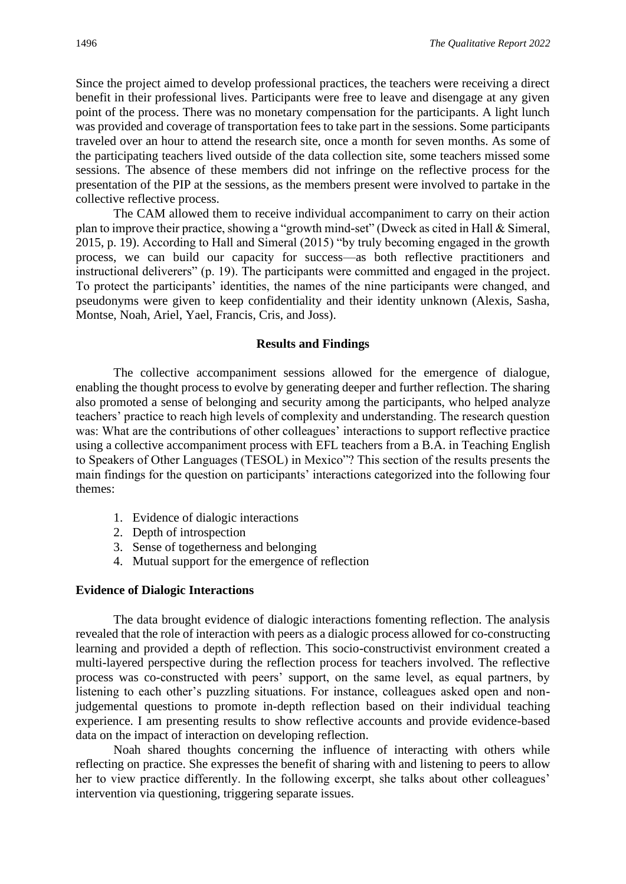Since the project aimed to develop professional practices, the teachers were receiving a direct benefit in their professional lives. Participants were free to leave and disengage at any given point of the process. There was no monetary compensation for the participants. A light lunch was provided and coverage of transportation fees to take part in the sessions. Some participants traveled over an hour to attend the research site, once a month for seven months. As some of the participating teachers lived outside of the data collection site, some teachers missed some sessions. The absence of these members did not infringe on the reflective process for the presentation of the PIP at the sessions, as the members present were involved to partake in the collective reflective process.

The CAM allowed them to receive individual accompaniment to carry on their action plan to improve their practice, showing a "growth mind-set" (Dweck as cited in Hall & Simeral, 2015, p. 19). According to Hall and Simeral (2015) "by truly becoming engaged in the growth process, we can build our capacity for success—as both reflective practitioners and instructional deliverers" (p. 19). The participants were committed and engaged in the project. To protect the participants' identities, the names of the nine participants were changed, and pseudonyms were given to keep confidentiality and their identity unknown (Alexis, Sasha, Montse, Noah, Ariel, Yael, Francis, Cris, and Joss).

### **Results and Findings**

The collective accompaniment sessions allowed for the emergence of dialogue, enabling the thought process to evolve by generating deeper and further reflection. The sharing also promoted a sense of belonging and security among the participants, who helped analyze teachers' practice to reach high levels of complexity and understanding. The research question was: What are the contributions of other colleagues' interactions to support reflective practice using a collective accompaniment process with EFL teachers from a B.A. in Teaching English to Speakers of Other Languages (TESOL) in Mexico"? This section of the results presents the main findings for the question on participants' interactions categorized into the following four themes:

- 1. Evidence of dialogic interactions
- 2. Depth of introspection
- 3. Sense of togetherness and belonging
- 4. Mutual support for the emergence of reflection

#### **Evidence of Dialogic Interactions**

The data brought evidence of dialogic interactions fomenting reflection. The analysis revealed that the role of interaction with peers as a dialogic process allowed for co-constructing learning and provided a depth of reflection. This socio-constructivist environment created a multi-layered perspective during the reflection process for teachers involved. The reflective process was co-constructed with peers' support, on the same level, as equal partners, by listening to each other's puzzling situations. For instance, colleagues asked open and nonjudgemental questions to promote in-depth reflection based on their individual teaching experience. I am presenting results to show reflective accounts and provide evidence-based data on the impact of interaction on developing reflection.

Noah shared thoughts concerning the influence of interacting with others while reflecting on practice. She expresses the benefit of sharing with and listening to peers to allow her to view practice differently. In the following excerpt, she talks about other colleagues' intervention via questioning, triggering separate issues.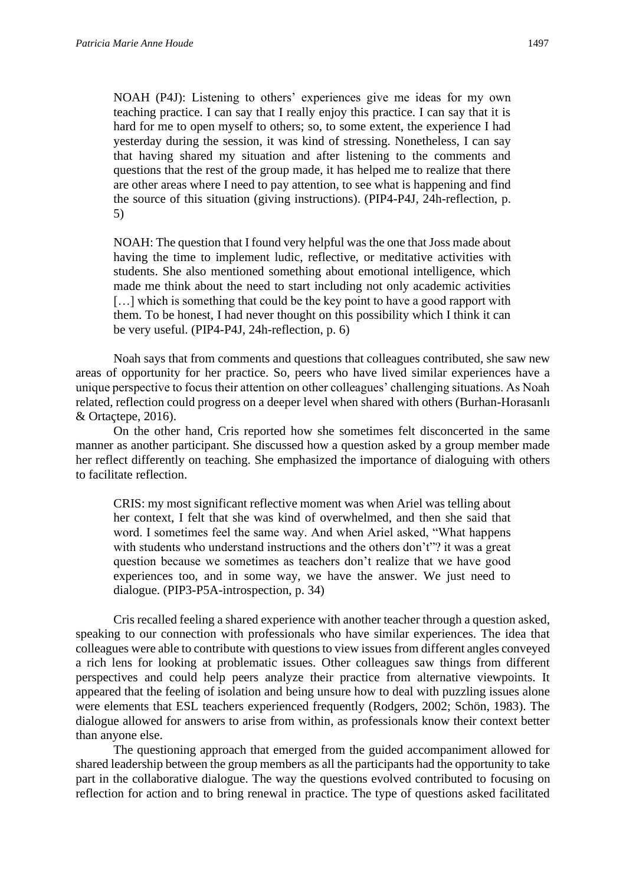NOAH (P4J): Listening to others' experiences give me ideas for my own teaching practice. I can say that I really enjoy this practice. I can say that it is hard for me to open myself to others; so, to some extent, the experience I had yesterday during the session, it was kind of stressing. Nonetheless, I can say that having shared my situation and after listening to the comments and questions that the rest of the group made, it has helped me to realize that there are other areas where I need to pay attention, to see what is happening and find the source of this situation (giving instructions). (PIP4-P4J, 24h-reflection, p. 5)

NOAH: The question that I found very helpful was the one that Joss made about having the time to implement ludic, reflective, or meditative activities with students. She also mentioned something about emotional intelligence, which made me think about the need to start including not only academic activities [...] which is something that could be the key point to have a good rapport with them. To be honest, I had never thought on this possibility which I think it can be very useful. (PIP4-P4J, 24h-reflection, p. 6)

Noah says that from comments and questions that colleagues contributed, she saw new areas of opportunity for her practice. So, peers who have lived similar experiences have a unique perspective to focus their attention on other colleagues' challenging situations. As Noah related, reflection could progress on a deeper level when shared with others (Burhan-Horasanlı & Ortaçtepe, 2016).

On the other hand, Cris reported how she sometimes felt disconcerted in the same manner as another participant. She discussed how a question asked by a group member made her reflect differently on teaching. She emphasized the importance of dialoguing with others to facilitate reflection.

CRIS: my most significant reflective moment was when Ariel was telling about her context, I felt that she was kind of overwhelmed, and then she said that word. I sometimes feel the same way. And when Ariel asked, "What happens with students who understand instructions and the others don't"? it was a great question because we sometimes as teachers don't realize that we have good experiences too, and in some way, we have the answer. We just need to dialogue. (PIP3-P5A-introspection, p. 34)

Cris recalled feeling a shared experience with another teacher through a question asked, speaking to our connection with professionals who have similar experiences. The idea that colleagues were able to contribute with questions to view issues from different angles conveyed a rich lens for looking at problematic issues. Other colleagues saw things from different perspectives and could help peers analyze their practice from alternative viewpoints. It appeared that the feeling of isolation and being unsure how to deal with puzzling issues alone were elements that ESL teachers experienced frequently (Rodgers, 2002; Schön, 1983). The dialogue allowed for answers to arise from within, as professionals know their context better than anyone else.

The questioning approach that emerged from the guided accompaniment allowed for shared leadership between the group members as all the participants had the opportunity to take part in the collaborative dialogue. The way the questions evolved contributed to focusing on reflection for action and to bring renewal in practice. The type of questions asked facilitated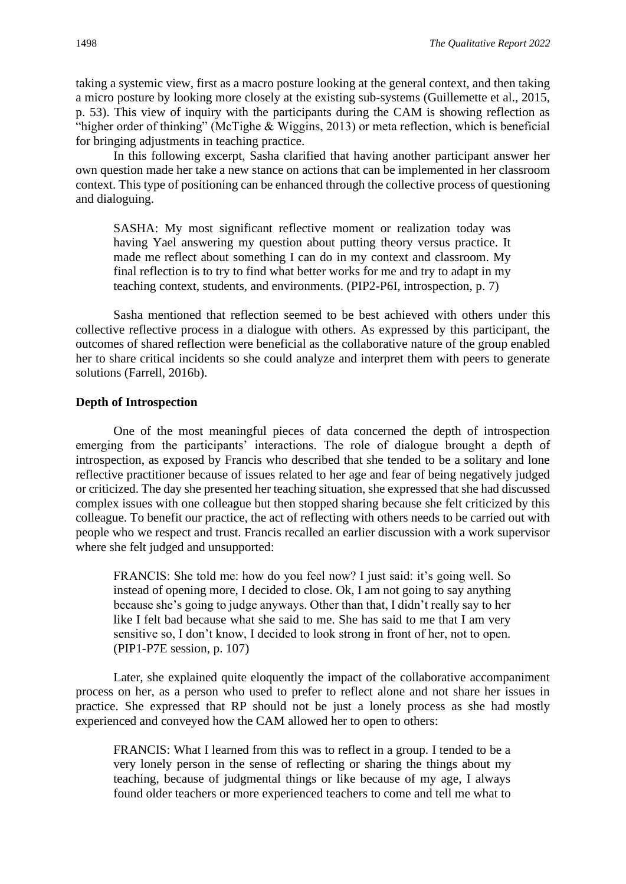taking a systemic view, first as a macro posture looking at the general context, and then taking a micro posture by looking more closely at the existing sub-systems (Guillemette et al., 2015, p. 53). This view of inquiry with the participants during the CAM is showing reflection as "higher order of thinking" (McTighe & Wiggins, 2013) or meta reflection, which is beneficial for bringing adjustments in teaching practice.

In this following excerpt, Sasha clarified that having another participant answer her own question made her take a new stance on actions that can be implemented in her classroom context. This type of positioning can be enhanced through the collective process of questioning and dialoguing.

SASHA: My most significant reflective moment or realization today was having Yael answering my question about putting theory versus practice. It made me reflect about something I can do in my context and classroom. My final reflection is to try to find what better works for me and try to adapt in my teaching context, students, and environments. (PIP2-P6I, introspection, p. 7)

Sasha mentioned that reflection seemed to be best achieved with others under this collective reflective process in a dialogue with others. As expressed by this participant, the outcomes of shared reflection were beneficial as the collaborative nature of the group enabled her to share critical incidents so she could analyze and interpret them with peers to generate solutions (Farrell, 2016b).

# **Depth of Introspection**

One of the most meaningful pieces of data concerned the depth of introspection emerging from the participants' interactions. The role of dialogue brought a depth of introspection, as exposed by Francis who described that she tended to be a solitary and lone reflective practitioner because of issues related to her age and fear of being negatively judged or criticized. The day she presented her teaching situation, she expressed that she had discussed complex issues with one colleague but then stopped sharing because she felt criticized by this colleague. To benefit our practice, the act of reflecting with others needs to be carried out with people who we respect and trust. Francis recalled an earlier discussion with a work supervisor where she felt judged and unsupported:

FRANCIS: She told me: how do you feel now? I just said: it's going well. So instead of opening more, I decided to close. Ok, I am not going to say anything because she's going to judge anyways. Other than that, I didn't really say to her like I felt bad because what she said to me. She has said to me that I am very sensitive so, I don't know, I decided to look strong in front of her, not to open. (PIP1-P7E session, p. 107)

Later, she explained quite eloquently the impact of the collaborative accompaniment process on her, as a person who used to prefer to reflect alone and not share her issues in practice. She expressed that RP should not be just a lonely process as she had mostly experienced and conveyed how the CAM allowed her to open to others:

FRANCIS: What I learned from this was to reflect in a group. I tended to be a very lonely person in the sense of reflecting or sharing the things about my teaching, because of judgmental things or like because of my age, I always found older teachers or more experienced teachers to come and tell me what to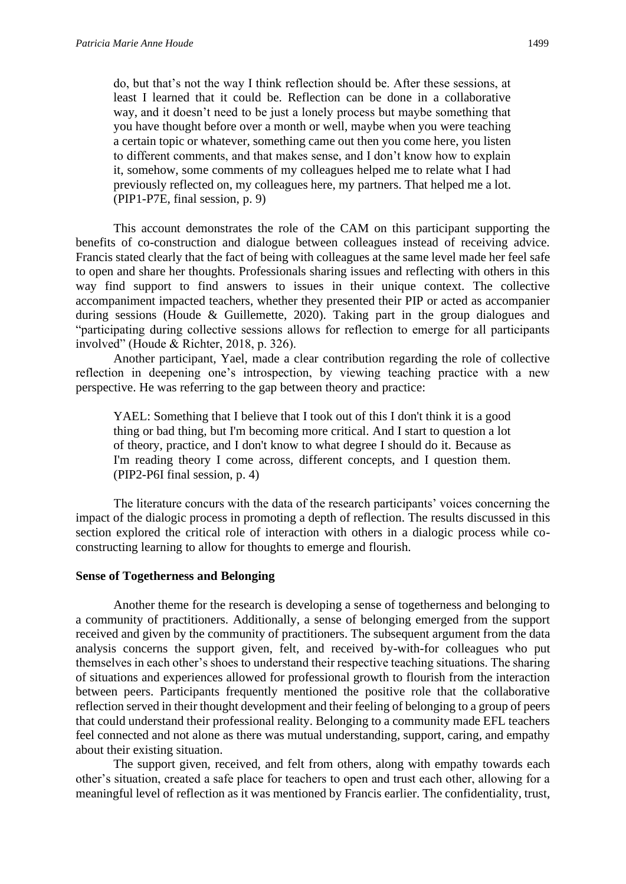do, but that's not the way I think reflection should be. After these sessions, at least I learned that it could be. Reflection can be done in a collaborative way, and it doesn't need to be just a lonely process but maybe something that you have thought before over a month or well, maybe when you were teaching a certain topic or whatever, something came out then you come here, you listen to different comments, and that makes sense, and I don't know how to explain it, somehow, some comments of my colleagues helped me to relate what I had previously reflected on, my colleagues here, my partners. That helped me a lot. (PIP1-P7E, final session, p. 9)

This account demonstrates the role of the CAM on this participant supporting the benefits of co-construction and dialogue between colleagues instead of receiving advice. Francis stated clearly that the fact of being with colleagues at the same level made her feel safe to open and share her thoughts. Professionals sharing issues and reflecting with others in this way find support to find answers to issues in their unique context. The collective accompaniment impacted teachers, whether they presented their PIP or acted as accompanier during sessions (Houde & Guillemette, 2020). Taking part in the group dialogues and "participating during collective sessions allows for reflection to emerge for all participants involved" (Houde & Richter, 2018, p. 326).

Another participant, Yael, made a clear contribution regarding the role of collective reflection in deepening one's introspection, by viewing teaching practice with a new perspective. He was referring to the gap between theory and practice:

YAEL: Something that I believe that I took out of this I don't think it is a good thing or bad thing, but I'm becoming more critical. And I start to question a lot of theory, practice, and I don't know to what degree I should do it. Because as I'm reading theory I come across, different concepts, and I question them. (PIP2-P6I final session, p. 4)

The literature concurs with the data of the research participants' voices concerning the impact of the dialogic process in promoting a depth of reflection. The results discussed in this section explored the critical role of interaction with others in a dialogic process while coconstructing learning to allow for thoughts to emerge and flourish.

#### **Sense of Togetherness and Belonging**

Another theme for the research is developing a sense of togetherness and belonging to a community of practitioners. Additionally, a sense of belonging emerged from the support received and given by the community of practitioners. The subsequent argument from the data analysis concerns the support given, felt, and received by-with-for colleagues who put themselves in each other's shoes to understand their respective teaching situations. The sharing of situations and experiences allowed for professional growth to flourish from the interaction between peers. Participants frequently mentioned the positive role that the collaborative reflection served in their thought development and their feeling of belonging to a group of peers that could understand their professional reality. Belonging to a community made EFL teachers feel connected and not alone as there was mutual understanding, support, caring, and empathy about their existing situation.

The support given, received, and felt from others, along with empathy towards each other's situation, created a safe place for teachers to open and trust each other, allowing for a meaningful level of reflection as it was mentioned by Francis earlier. The confidentiality, trust,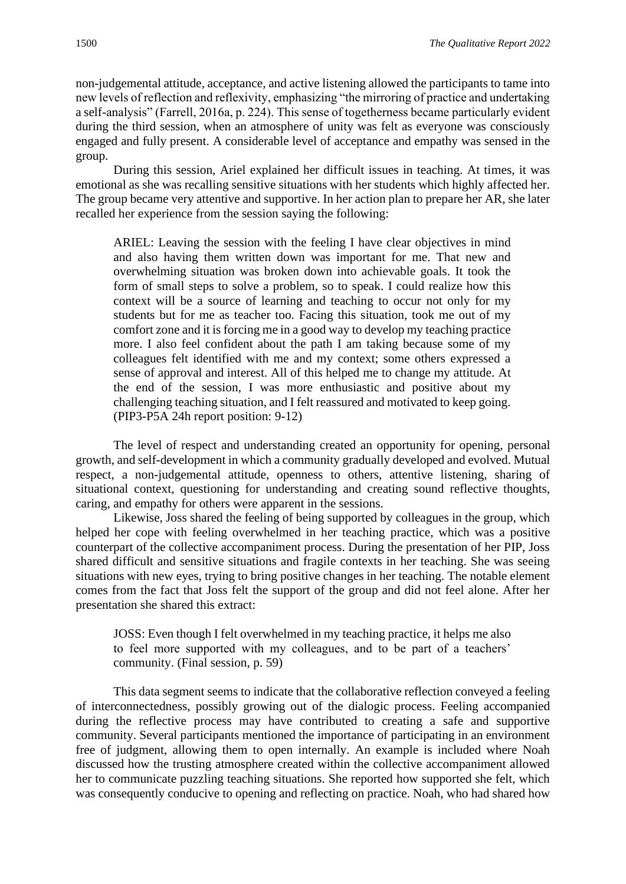non-judgemental attitude, acceptance, and active listening allowed the participants to tame into new levels of reflection and reflexivity, emphasizing "the mirroring of practice and undertaking a self-analysis" (Farrell, 2016a, p. 224). This sense of togetherness became particularly evident during the third session, when an atmosphere of unity was felt as everyone was consciously engaged and fully present. A considerable level of acceptance and empathy was sensed in the group.

During this session, Ariel explained her difficult issues in teaching. At times, it was emotional as she was recalling sensitive situations with her students which highly affected her. The group became very attentive and supportive. In her action plan to prepare her AR, she later recalled her experience from the session saying the following:

ARIEL: Leaving the session with the feeling I have clear objectives in mind and also having them written down was important for me. That new and overwhelming situation was broken down into achievable goals. It took the form of small steps to solve a problem, so to speak. I could realize how this context will be a source of learning and teaching to occur not only for my students but for me as teacher too. Facing this situation, took me out of my comfort zone and it is forcing me in a good way to develop my teaching practice more. I also feel confident about the path I am taking because some of my colleagues felt identified with me and my context; some others expressed a sense of approval and interest. All of this helped me to change my attitude. At the end of the session, I was more enthusiastic and positive about my challenging teaching situation, and I felt reassured and motivated to keep going. (PIP3-P5A 24h report position: 9-12)

The level of respect and understanding created an opportunity for opening, personal growth, and self-development in which a community gradually developed and evolved. Mutual respect, a non-judgemental attitude, openness to others, attentive listening, sharing of situational context, questioning for understanding and creating sound reflective thoughts, caring, and empathy for others were apparent in the sessions.

Likewise, Joss shared the feeling of being supported by colleagues in the group, which helped her cope with feeling overwhelmed in her teaching practice, which was a positive counterpart of the collective accompaniment process. During the presentation of her PIP, Joss shared difficult and sensitive situations and fragile contexts in her teaching. She was seeing situations with new eyes, trying to bring positive changes in her teaching. The notable element comes from the fact that Joss felt the support of the group and did not feel alone. After her presentation she shared this extract:

JOSS: Even though I felt overwhelmed in my teaching practice, it helps me also to feel more supported with my colleagues, and to be part of a teachers' community. (Final session, p. 59)

This data segment seems to indicate that the collaborative reflection conveyed a feeling of interconnectedness, possibly growing out of the dialogic process. Feeling accompanied during the reflective process may have contributed to creating a safe and supportive community. Several participants mentioned the importance of participating in an environment free of judgment, allowing them to open internally. An example is included where Noah discussed how the trusting atmosphere created within the collective accompaniment allowed her to communicate puzzling teaching situations. She reported how supported she felt, which was consequently conducive to opening and reflecting on practice. Noah, who had shared how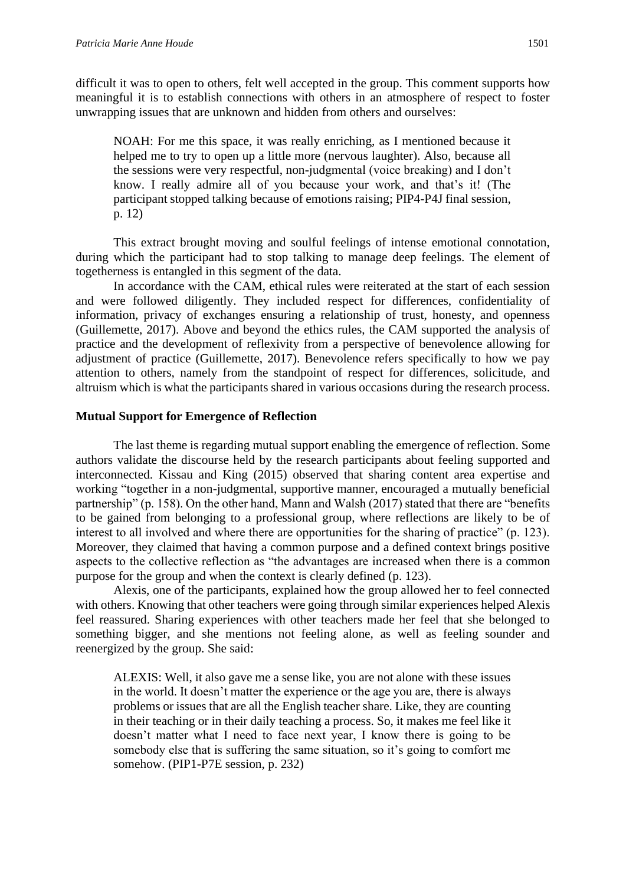difficult it was to open to others, felt well accepted in the group. This comment supports how meaningful it is to establish connections with others in an atmosphere of respect to foster unwrapping issues that are unknown and hidden from others and ourselves:

NOAH: For me this space, it was really enriching, as I mentioned because it helped me to try to open up a little more (nervous laughter). Also, because all the sessions were very respectful, non-judgmental (voice breaking) and I don't know. I really admire all of you because your work, and that's it! (The participant stopped talking because of emotions raising; PIP4-P4J final session, p. 12)

This extract brought moving and soulful feelings of intense emotional connotation, during which the participant had to stop talking to manage deep feelings. The element of togetherness is entangled in this segment of the data.

In accordance with the CAM, ethical rules were reiterated at the start of each session and were followed diligently. They included respect for differences, confidentiality of information, privacy of exchanges ensuring a relationship of trust, honesty, and openness (Guillemette, 2017). Above and beyond the ethics rules, the CAM supported the analysis of practice and the development of reflexivity from a perspective of benevolence allowing for adjustment of practice (Guillemette, 2017). Benevolence refers specifically to how we pay attention to others, namely from the standpoint of respect for differences, solicitude, and altruism which is what the participants shared in various occasions during the research process.

### **Mutual Support for Emergence of Reflection**

The last theme is regarding mutual support enabling the emergence of reflection. Some authors validate the discourse held by the research participants about feeling supported and interconnected. Kissau and King (2015) observed that sharing content area expertise and working "together in a non-judgmental, supportive manner, encouraged a mutually beneficial partnership" (p. 158). On the other hand, Mann and Walsh (2017) stated that there are "benefits to be gained from belonging to a professional group, where reflections are likely to be of interest to all involved and where there are opportunities for the sharing of practice" (p. 123). Moreover, they claimed that having a common purpose and a defined context brings positive aspects to the collective reflection as "the advantages are increased when there is a common purpose for the group and when the context is clearly defined (p. 123).

Alexis, one of the participants, explained how the group allowed her to feel connected with others. Knowing that other teachers were going through similar experiences helped Alexis feel reassured. Sharing experiences with other teachers made her feel that she belonged to something bigger, and she mentions not feeling alone, as well as feeling sounder and reenergized by the group. She said:

ALEXIS: Well, it also gave me a sense like, you are not alone with these issues in the world. It doesn't matter the experience or the age you are, there is always problems or issues that are all the English teacher share. Like, they are counting in their teaching or in their daily teaching a process. So, it makes me feel like it doesn't matter what I need to face next year, I know there is going to be somebody else that is suffering the same situation, so it's going to comfort me somehow. (PIP1-P7E session, p. 232)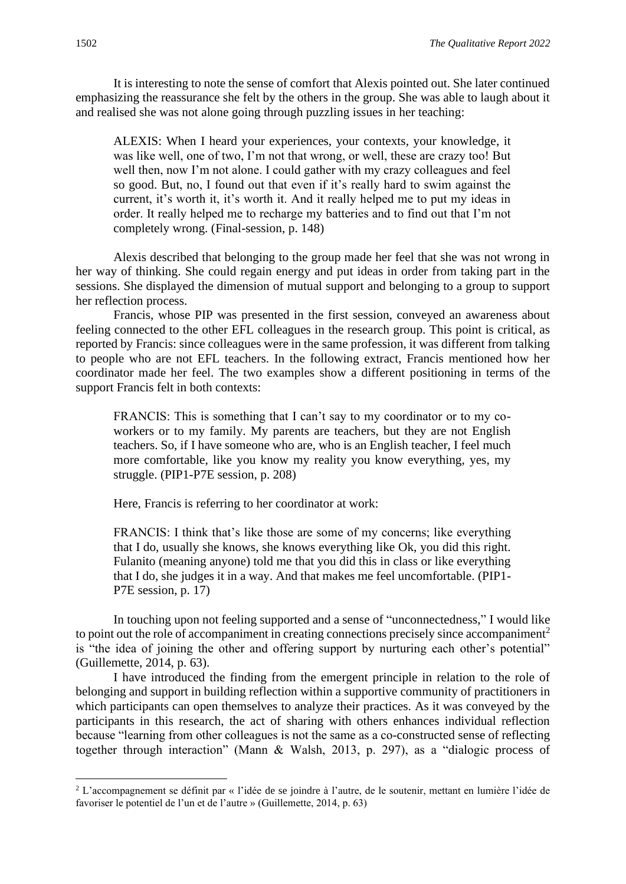It is interesting to note the sense of comfort that Alexis pointed out. She later continued emphasizing the reassurance she felt by the others in the group. She was able to laugh about it and realised she was not alone going through puzzling issues in her teaching:

ALEXIS: When I heard your experiences, your contexts, your knowledge, it was like well, one of two, I'm not that wrong, or well, these are crazy too! But well then, now I'm not alone. I could gather with my crazy colleagues and feel so good. But, no, I found out that even if it's really hard to swim against the current, it's worth it, it's worth it. And it really helped me to put my ideas in order. It really helped me to recharge my batteries and to find out that I'm not completely wrong. (Final-session, p. 148)

Alexis described that belonging to the group made her feel that she was not wrong in her way of thinking. She could regain energy and put ideas in order from taking part in the sessions. She displayed the dimension of mutual support and belonging to a group to support her reflection process.

Francis, whose PIP was presented in the first session, conveyed an awareness about feeling connected to the other EFL colleagues in the research group. This point is critical, as reported by Francis: since colleagues were in the same profession, it was different from talking to people who are not EFL teachers. In the following extract, Francis mentioned how her coordinator made her feel. The two examples show a different positioning in terms of the support Francis felt in both contexts:

FRANCIS: This is something that I can't say to my coordinator or to my coworkers or to my family. My parents are teachers, but they are not English teachers. So, if I have someone who are, who is an English teacher, I feel much more comfortable, like you know my reality you know everything, yes, my struggle. (PIP1-P7E session, p. 208)

Here, Francis is referring to her coordinator at work:

FRANCIS: I think that's like those are some of my concerns; like everything that I do, usually she knows, she knows everything like Ok, you did this right. Fulanito (meaning anyone) told me that you did this in class or like everything that I do, she judges it in a way. And that makes me feel uncomfortable. (PIP1- P7E session, p. 17)

In touching upon not feeling supported and a sense of "unconnectedness," I would like to point out the role of accompaniment in creating connections precisely since accompaniment<sup>2</sup> is "the idea of joining the other and offering support by nurturing each other's potential" (Guillemette, 2014, p. 63).

I have introduced the finding from the emergent principle in relation to the role of belonging and support in building reflection within a supportive community of practitioners in which participants can open themselves to analyze their practices. As it was conveyed by the participants in this research, the act of sharing with others enhances individual reflection because "learning from other colleagues is not the same as a co-constructed sense of reflecting together through interaction" (Mann & Walsh, 2013, p. 297), as a "dialogic process of

<sup>2</sup> L'accompagnement se définit par « l'idée de se joindre à l'autre, de le soutenir, mettant en lumière l'idée de favoriser le potentiel de l'un et de l'autre » (Guillemette, 2014, p. 63)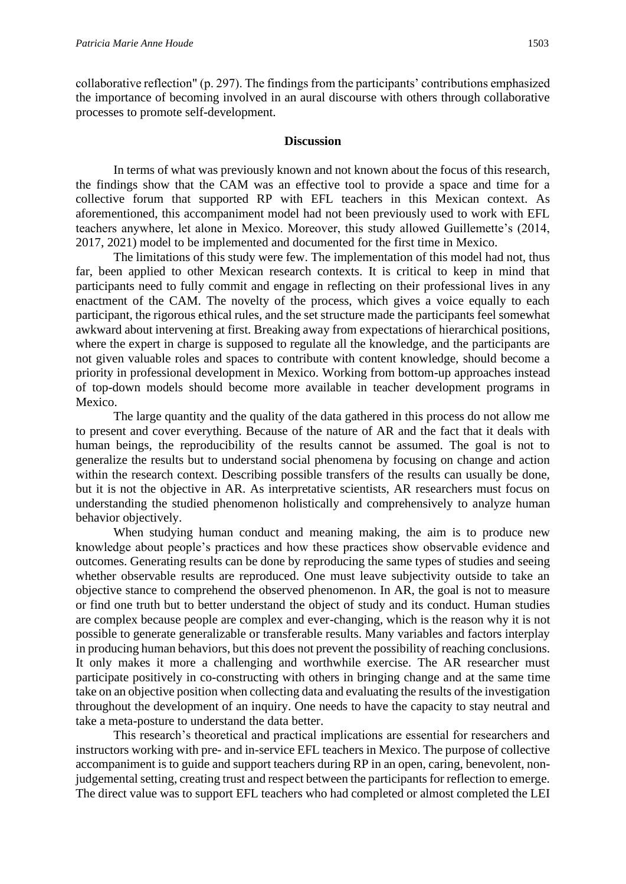collaborative reflection" (p. 297). The findings from the participants' contributions emphasized the importance of becoming involved in an aural discourse with others through collaborative processes to promote self-development.

#### **Discussion**

In terms of what was previously known and not known about the focus of this research, the findings show that the CAM was an effective tool to provide a space and time for a collective forum that supported RP with EFL teachers in this Mexican context. As aforementioned, this accompaniment model had not been previously used to work with EFL teachers anywhere, let alone in Mexico. Moreover, this study allowed Guillemette's (2014, 2017, 2021) model to be implemented and documented for the first time in Mexico.

The limitations of this study were few. The implementation of this model had not, thus far, been applied to other Mexican research contexts. It is critical to keep in mind that participants need to fully commit and engage in reflecting on their professional lives in any enactment of the CAM. The novelty of the process, which gives a voice equally to each participant, the rigorous ethical rules, and the set structure made the participants feel somewhat awkward about intervening at first. Breaking away from expectations of hierarchical positions, where the expert in charge is supposed to regulate all the knowledge, and the participants are not given valuable roles and spaces to contribute with content knowledge, should become a priority in professional development in Mexico. Working from bottom-up approaches instead of top-down models should become more available in teacher development programs in Mexico.

The large quantity and the quality of the data gathered in this process do not allow me to present and cover everything. Because of the nature of AR and the fact that it deals with human beings, the reproducibility of the results cannot be assumed. The goal is not to generalize the results but to understand social phenomena by focusing on change and action within the research context. Describing possible transfers of the results can usually be done, but it is not the objective in AR. As interpretative scientists, AR researchers must focus on understanding the studied phenomenon holistically and comprehensively to analyze human behavior objectively.

When studying human conduct and meaning making, the aim is to produce new knowledge about people's practices and how these practices show observable evidence and outcomes. Generating results can be done by reproducing the same types of studies and seeing whether observable results are reproduced. One must leave subjectivity outside to take an objective stance to comprehend the observed phenomenon. In AR, the goal is not to measure or find one truth but to better understand the object of study and its conduct. Human studies are complex because people are complex and ever-changing, which is the reason why it is not possible to generate generalizable or transferable results. Many variables and factors interplay in producing human behaviors, but this does not prevent the possibility of reaching conclusions. It only makes it more a challenging and worthwhile exercise. The AR researcher must participate positively in co-constructing with others in bringing change and at the same time take on an objective position when collecting data and evaluating the results of the investigation throughout the development of an inquiry. One needs to have the capacity to stay neutral and take a meta-posture to understand the data better.

This research's theoretical and practical implications are essential for researchers and instructors working with pre- and in-service EFL teachers in Mexico. The purpose of collective accompaniment is to guide and support teachers during RP in an open, caring, benevolent, nonjudgemental setting, creating trust and respect between the participants for reflection to emerge. The direct value was to support EFL teachers who had completed or almost completed the LEI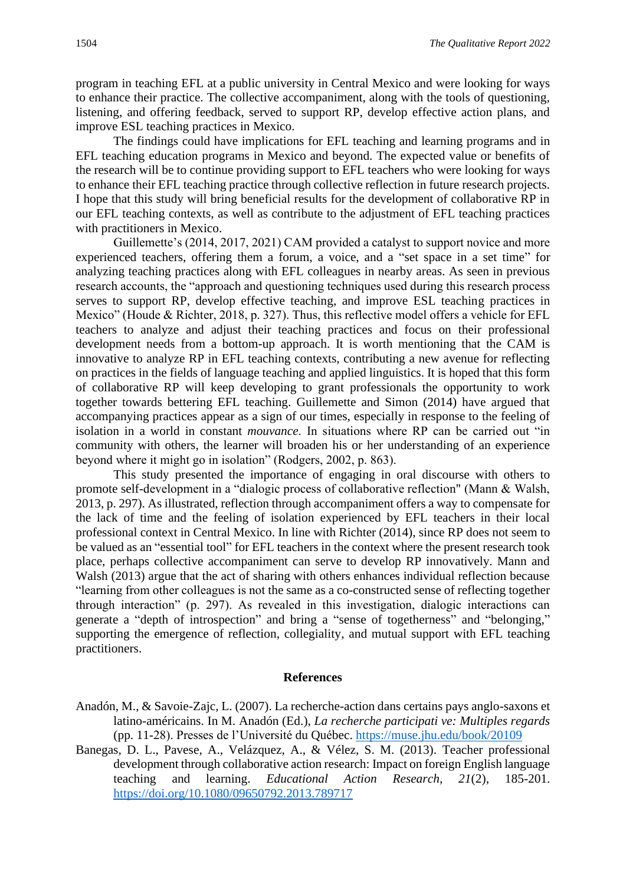program in teaching EFL at a public university in Central Mexico and were looking for ways to enhance their practice. The collective accompaniment, along with the tools of questioning, listening, and offering feedback, served to support RP, develop effective action plans, and improve ESL teaching practices in Mexico.

The findings could have implications for EFL teaching and learning programs and in EFL teaching education programs in Mexico and beyond. The expected value or benefits of the research will be to continue providing support to EFL teachers who were looking for ways to enhance their EFL teaching practice through collective reflection in future research projects. I hope that this study will bring beneficial results for the development of collaborative RP in our EFL teaching contexts, as well as contribute to the adjustment of EFL teaching practices with practitioners in Mexico.

Guillemette's (2014, 2017, 2021) CAM provided a catalyst to support novice and more experienced teachers, offering them a forum, a voice, and a "set space in a set time" for analyzing teaching practices along with EFL colleagues in nearby areas. As seen in previous research accounts, the "approach and questioning techniques used during this research process serves to support RP, develop effective teaching, and improve ESL teaching practices in Mexico" (Houde & Richter, 2018, p. 327). Thus, this reflective model offers a vehicle for EFL teachers to analyze and adjust their teaching practices and focus on their professional development needs from a bottom-up approach. It is worth mentioning that the CAM is innovative to analyze RP in EFL teaching contexts, contributing a new avenue for reflecting on practices in the fields of language teaching and applied linguistics. It is hoped that this form of collaborative RP will keep developing to grant professionals the opportunity to work together towards bettering EFL teaching. Guillemette and Simon (2014) have argued that accompanying practices appear as a sign of our times, especially in response to the feeling of isolation in a world in constant *mouvance*. In situations where RP can be carried out "in community with others, the learner will broaden his or her understanding of an experience beyond where it might go in isolation" (Rodgers, 2002, p. 863).

This study presented the importance of engaging in oral discourse with others to promote self-development in a "dialogic process of collaborative reflection" (Mann & Walsh, 2013, p. 297). As illustrated, reflection through accompaniment offers a way to compensate for the lack of time and the feeling of isolation experienced by EFL teachers in their local professional context in Central Mexico. In line with Richter (2014), since RP does not seem to be valued as an "essential tool" for EFL teachers in the context where the present research took place, perhaps collective accompaniment can serve to develop RP innovatively. Mann and Walsh (2013) argue that the act of sharing with others enhances individual reflection because "learning from other colleagues is not the same as a co-constructed sense of reflecting together through interaction" (p. 297). As revealed in this investigation, dialogic interactions can generate a "depth of introspection" and bring a "sense of togetherness" and "belonging," supporting the emergence of reflection, collegiality, and mutual support with EFL teaching practitioners.

#### **References**

- Anadón, M., & Savoie-Zajc, L. (2007). La recherche-action dans certains pays anglo-saxons et latino-américains. In M. Anadón (Ed.), *La recherche participati ve: Multiples regards* (pp. 11-28). Presses de l'Université du Québec.<https://muse.jhu.edu/book/20109>
- Banegas, D. L., Pavese, A., Velázquez, A., & Vélez, S. M. (2013). Teacher professional development through collaborative action research: Impact on foreign English language teaching and learning. *Educational Action Research, 21*(2), 185-201. <https://doi.org/10.1080/09650792.2013.789717>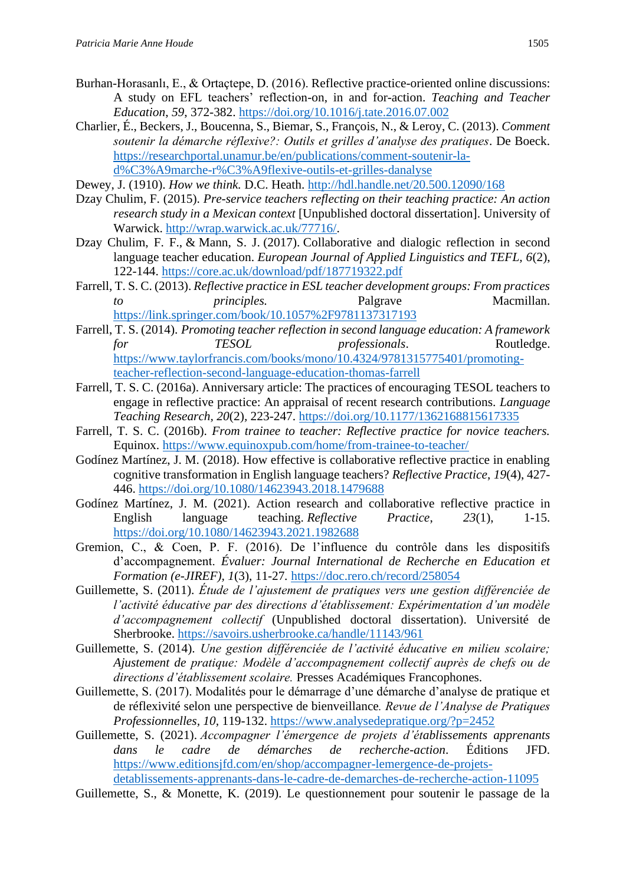- Burhan-Horasanlı, E., & Ortaçtepe, D. (2016). Reflective practice-oriented online discussions: A study on EFL teachers' reflection-on, in and for-action. *Teaching and Teacher Education*, *59*, 372-382.<https://doi.org/10.1016/j.tate.2016.07.002>
- Charlier, É., Beckers, J., Boucenna, S., Biemar, S., François, N., & Leroy, C. (2013). *Comment soutenir la démarche réflexive?: Outils et grilles d'analyse des pratiques*. De Boeck. [https://researchportal.unamur.be/en/publications/comment-soutenir-la](https://researchportal.unamur.be/en/publications/comment-soutenir-la-d%C3%A9marche-r%C3%A9flexive-outils-et-grilles-danalyse)[d%C3%A9marche-r%C3%A9flexive-outils-et-grilles-danalyse](https://researchportal.unamur.be/en/publications/comment-soutenir-la-d%C3%A9marche-r%C3%A9flexive-outils-et-grilles-danalyse)
- Dewey, J. (1910). *How we think.* D.C. Heath.<http://hdl.handle.net/20.500.12090/168>
- Dzay Chulim, F. (2015). *Pre-service teachers reflecting on their teaching practice: An action research study in a Mexican context* [Unpublished doctoral dissertation]. University of Warwick. [http://wrap.warwick.ac.uk/77716/.](http://wrap.warwick.ac.uk/77716/)
- Dzay Chulim, F. F., & Mann, S. J. (2017). Collaborative and dialogic reflection in second language teacher education. *European Journal of Applied Linguistics and TEFL, 6*(2), 122-144.<https://core.ac.uk/download/pdf/187719322.pdf>
- Farrell, T. S. C. (2013). *Reflective practice in ESL teacher development groups: From practices principles.* Palgrave Macmillan. <https://link.springer.com/book/10.1057%2F9781137317193>
- Farrell, T. S. (2014). *Promoting teacher reflection in second language education: A framework for TESOL professionals*. Routledge. [https://www.taylorfrancis.com/books/mono/10.4324/9781315775401/promoting](https://www.taylorfrancis.com/books/mono/10.4324/9781315775401/promoting-teacher-reflection-second-language-education-thomas-farrell)[teacher-reflection-second-language-education-thomas-farrell](https://www.taylorfrancis.com/books/mono/10.4324/9781315775401/promoting-teacher-reflection-second-language-education-thomas-farrell)
- Farrell, T. S. C. (2016a). Anniversary article: The practices of encouraging TESOL teachers to engage in reflective practice: An appraisal of recent research contributions. *Language Teaching Research, 20*(2)*,* 223-247.<https://doi.org/10.1177/1362168815617335>
- Farrell, T. S. C. (2016b). *From trainee to teacher: Reflective practice for novice teachers.* Equinox.<https://www.equinoxpub.com/home/from-trainee-to-teacher/>
- Godínez Martínez, J. M. (2018). How effective is collaborative reflective practice in enabling cognitive transformation in English language teachers? *Reflective Practice*, *19*(4), 427- 446.<https://doi.org/10.1080/14623943.2018.1479688>
- Godínez Martínez, J. M. (2021). Action research and collaborative reflective practice in English language teaching. *Reflective Practice*, *23*(1), 1-15. <https://doi.org/10.1080/14623943.2021.1982688>
- Gremion, C., & Coen, P. F. (2016). De l'influence du contrôle dans les dispositifs d'accompagnement. *Évaluer: Journal International de Recherche en Education et Formation (e-JIREF), 1*(3), 11-27*.* <https://doc.rero.ch/record/258054>
- Guillemette, S. (2011). *Étude de l'ajustement de pratiques vers une gestion différenciée de l'activité éducative par des directions d'établissement: Expérimentation d'un modèle d'accompagnement collectif* (Unpublished doctoral dissertation). Université de Sherbrooke.<https://savoirs.usherbrooke.ca/handle/11143/961>
- Guillemette, S. (2014). *Une gestion différenciée de l'activité éducative en milieu scolaire; Ajustement de pratique: Modèle d'accompagnement collectif auprès de chefs ou de directions d'établissement scolaire.* Presses Académiques Francophones.
- Guillemette, S. (2017). Modalités pour le démarrage d'une démarche d'analyse de pratique et de réflexivité selon une perspective de bienveillance*. Revue de l'Analyse de Pratiques Professionnelles, 10,* 119-132.<https://www.analysedepratique.org/?p=2452>
- Guillemette, S. (2021). *Accompagner l'émergence de projets d'établissements apprenants dans le cadre de démarches de recherche-action*. Éditions JFD. [https://www.editionsjfd.com/en/shop/accompagner-lemergence-de-projets](https://www.editionsjfd.com/en/shop/accompagner-lemergence-de-projets-detablissements-apprenants-dans-le-cadre-de-demarches-de-recherche-action-11095)[detablissements-apprenants-dans-le-cadre-de-demarches-de-recherche-action-11095](https://www.editionsjfd.com/en/shop/accompagner-lemergence-de-projets-detablissements-apprenants-dans-le-cadre-de-demarches-de-recherche-action-11095)
- Guillemette, S., & Monette, K. (2019). Le questionnement pour soutenir le passage de la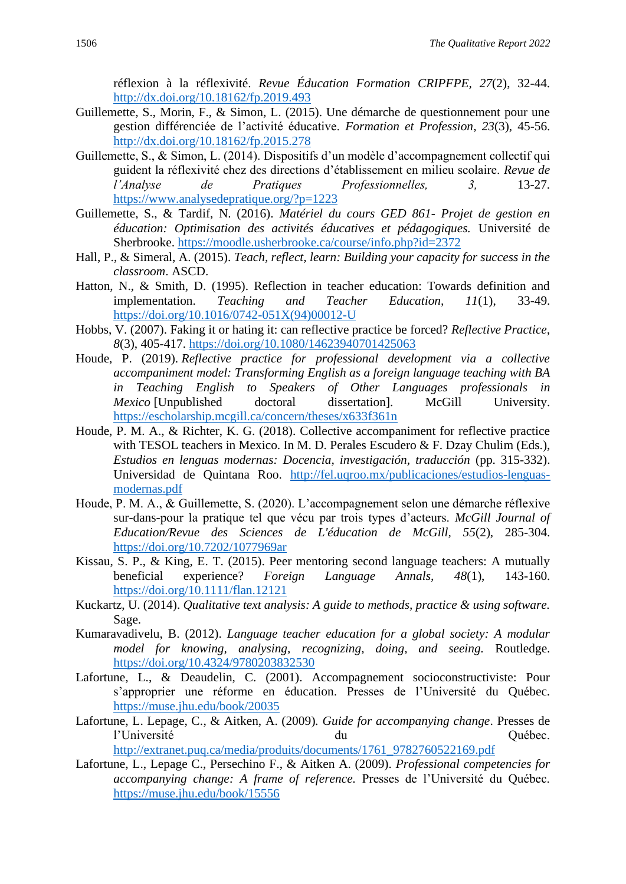réflexion à la réflexivité. *Revue Éducation Formation CRIPFPE, 27*(2), 32-44. <http://dx.doi.org/10.18162/fp.2019.493>

- Guillemette, S., Morin, F., & Simon, L. (2015). Une démarche de questionnement pour une gestion différenciée de l'activité éducative. *Formation et Profession*, *23*(3), 45-56. <http://dx.doi.org/10.18162/fp.2015.278>
- Guillemette, S., & Simon, L. (2014). Dispositifs d'un modèle d'accompagnement collectif qui guident la réflexivité chez des directions d'établissement en milieu scolaire. *Revue de l'Analyse de Pratiques Professionnelles, 3,* 13-27. <https://www.analysedepratique.org/?p=1223>
- Guillemette, S., & Tardif, N. (2016). *Matériel du cours GED 861- Projet de gestion en éducation: Optimisation des activités éducatives et pédagogiques.* Université de Sherbrooke.<https://moodle.usherbrooke.ca/course/info.php?id=2372>
- Hall, P., & Simeral, A. (2015). *Teach, reflect, learn: Building your capacity for success in the classroom*. ASCD.
- Hatton, N., & Smith, D. (1995). Reflection in teacher education: Towards definition and implementation. *Teaching and Teacher Education, 11*(1), 33-49. [https://doi.org/10.1016/0742-051X\(94\)00012-U](https://doi.org/10.1016/0742-051X(94)00012-U)
- Hobbs, V. (2007). Faking it or hating it: can reflective practice be forced? *Reflective Practice, 8*(3), 405-417.<https://doi.org/10.1080/14623940701425063>
- Houde, P. (2019). *Reflective practice for professional development via a collective accompaniment model: Transforming English as a foreign language teaching with BA in Teaching English to Speakers of Other Languages professionals in Mexico* [Unpublished doctoral dissertation]. McGill University. <https://escholarship.mcgill.ca/concern/theses/x633f361n>
- Houde, P. M. A., & Richter, K. G. (2018). Collective accompaniment for reflective practice with TESOL teachers in Mexico. In M. D. Perales Escudero & F. Dzay Chulim (Eds.), *Estudios en lenguas modernas: Docencia, investigación, traducción* (pp. 315-332). Universidad de Quintana Roo. [http://fel.uqroo.mx/publicaciones/estudios-lenguas](http://fel.uqroo.mx/publicaciones/estudios-lenguas-modernas.pdf)[modernas.pdf](http://fel.uqroo.mx/publicaciones/estudios-lenguas-modernas.pdf)
- Houde, P. M. A., & Guillemette, S. (2020). L'accompagnement selon une démarche réflexive sur-dans-pour la pratique tel que vécu par trois types d'acteurs. *McGill Journal of Education/Revue des Sciences de L'éducation de McGill, 55*(2), 285-304. <https://doi.org/10.7202/1077969ar>
- Kissau, S. P., & King, E. T. (2015). Peer mentoring second language teachers: A mutually beneficial experience? *Foreign Language Annals, 48*(1), 143-160. <https://doi.org/10.1111/flan.12121>
- Kuckartz, U. (2014). *Qualitative text analysis: A guide to methods, practice & using software.* Sage.
- Kumaravadivelu, B. (2012). *Language teacher education for a global society: A modular model for knowing, analysing, recognizing, doing, and seeing.* Routledge. <https://doi.org/10.4324/9780203832530>
- Lafortune, L., & Deaudelin, C. (2001). Accompagnement socioconstructiviste: Pour s'approprier une réforme en éducation. Presses de l'Université du Québec. <https://muse.jhu.edu/book/20035>
- Lafortune, L. Lepage, C., & Aitken, A. (2009)*. Guide for accompanying change*. Presses de l'Université du Québec.

[http://extranet.puq.ca/media/produits/documents/1761\\_9782760522169.pdf](http://extranet.puq.ca/media/produits/documents/1761_9782760522169.pdf)

Lafortune, L., Lepage C., Persechino F., & Aitken A. (2009). *Professional competencies for accompanying change: A frame of reference.* Presses de l'Université du Québec. <https://muse.jhu.edu/book/15556>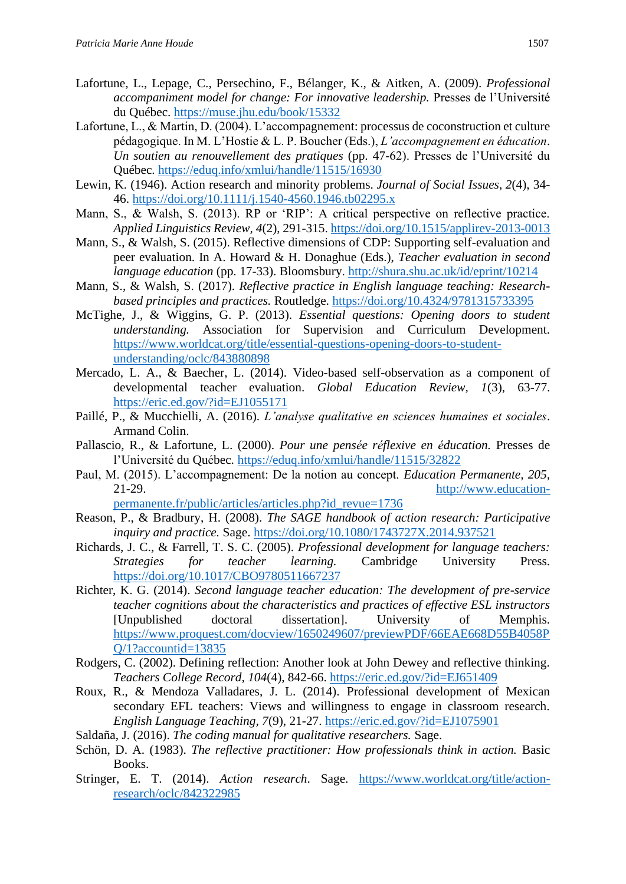- Lafortune, L., Lepage, C., Persechino, F., Bélanger, K., & Aitken, A. (2009). *Professional accompaniment model for change: For innovative leadership.* Presses de l'Université du Québec.<https://muse.jhu.edu/book/15332>
- Lafortune, L., & Martin, D. (2004). L'accompagnement: processus de coconstruction et culture pédagogique. In M. L'Hostie & L. P. Boucher (Eds.), *L'accompagnement en éducation*. *Un soutien au renouvellement des pratiques* (pp. 47-62). Presses de l'Université du Québec.<https://eduq.info/xmlui/handle/11515/16930>
- Lewin, K. (1946). Action research and minority problems. *Journal of Social Issues*, *2*(4), 34- 46.<https://doi.org/10.1111/j.1540-4560.1946.tb02295.x>
- Mann, S., & Walsh, S. (2013). RP or 'RIP': A critical perspective on reflective practice. *Applied Linguistics Review, 4*(2), 291-315[. https://doi.org/10.1515/applirev-2013-0013](https://doi.org/10.1515/applirev-2013-0013)
- Mann, S., & Walsh, S. (2015). Reflective dimensions of CDP: Supporting self-evaluation and peer evaluation. In A. Howard & H. Donaghue (Eds.), *Teacher evaluation in second language education* (pp. 17-33). Bloomsbury. <http://shura.shu.ac.uk/id/eprint/10214>
- Mann, S., & Walsh, S. (2017). *Reflective practice in English language teaching: Researchbased principles and practices.* Routledge. <https://doi.org/10.4324/9781315733395>
- McTighe, J., & Wiggins, G. P. (2013). *Essential questions: Opening doors to student understanding.* Association for Supervision and Curriculum Development. [https://www.worldcat.org/title/essential-questions-opening-doors-to-student](https://www.worldcat.org/title/essential-questions-opening-doors-to-student-understanding/oclc/843880898)[understanding/oclc/843880898](https://www.worldcat.org/title/essential-questions-opening-doors-to-student-understanding/oclc/843880898)
- Mercado, L. A., & Baecher, L. (2014). Video-based self-observation as a component of developmental teacher evaluation. *Global Education Review, 1*(3), 63-77. <https://eric.ed.gov/?id=EJ1055171>
- Paillé, P., & Mucchielli, A. (2016). *L'analyse qualitative en sciences humaines et sociales*. Armand Colin.
- Pallascio, R., & Lafortune, L. (2000). *Pour une pensée réflexive en éducation.* Presses de l'Université du Québec.<https://eduq.info/xmlui/handle/11515/32822>
- Paul, M. (2015). L'accompagnement: De la notion au concept. *Education Permanente, 205,* 21-29. [http://www.education](http://www.education-permanente.fr/public/articles/articles.php?id_revue=1736)[permanente.fr/public/articles/articles.php?id\\_revue=1736](http://www.education-permanente.fr/public/articles/articles.php?id_revue=1736)
- Reason, P., & Bradbury, H. (2008). *The SAGE handbook of action research: Participative inquiry and practice.* Sage.<https://doi.org/10.1080/1743727X.2014.937521>
- Richards, J. C., & Farrell, T. S. C. (2005). *Professional development for language teachers: Strategies for teacher learning.* Cambridge University Press. <https://doi.org/10.1017/CBO9780511667237>
- Richter, K. G. (2014). *Second language teacher education: The development of pre-service teacher cognitions about the characteristics and practices of effective ESL instructors* [Unpublished doctoral dissertation]. University of Memphis. [https://www.proquest.com/docview/1650249607/previewPDF/66EAE668D55B4058P](https://www.proquest.com/docview/1650249607/previewPDF/66EAE668D55B4058PQ/1?accountid=13835) [Q/1?accountid=13835](https://www.proquest.com/docview/1650249607/previewPDF/66EAE668D55B4058PQ/1?accountid=13835)
- Rodgers, C. (2002). Defining reflection: Another look at John Dewey and reflective thinking. *Teachers College Record, 104*(4), 842-66. <https://eric.ed.gov/?id=EJ651409>
- Roux, R., & Mendoza Valladares, J. L. (2014). Professional development of Mexican secondary EFL teachers: Views and willingness to engage in classroom research. *English Language Teaching, 7*(9), 21-27.<https://eric.ed.gov/?id=EJ1075901>
- Saldaña, J. (2016). *The coding manual for qualitative researchers.* Sage.
- Schön, D. A. (1983). *The reflective practitioner: How professionals think in action.* Basic Books.
- Stringer, E. T. (2014). *Action research*. Sage. [https://www.worldcat.org/title/action](https://www.worldcat.org/title/action-research/oclc/842322985)[research/oclc/842322985](https://www.worldcat.org/title/action-research/oclc/842322985)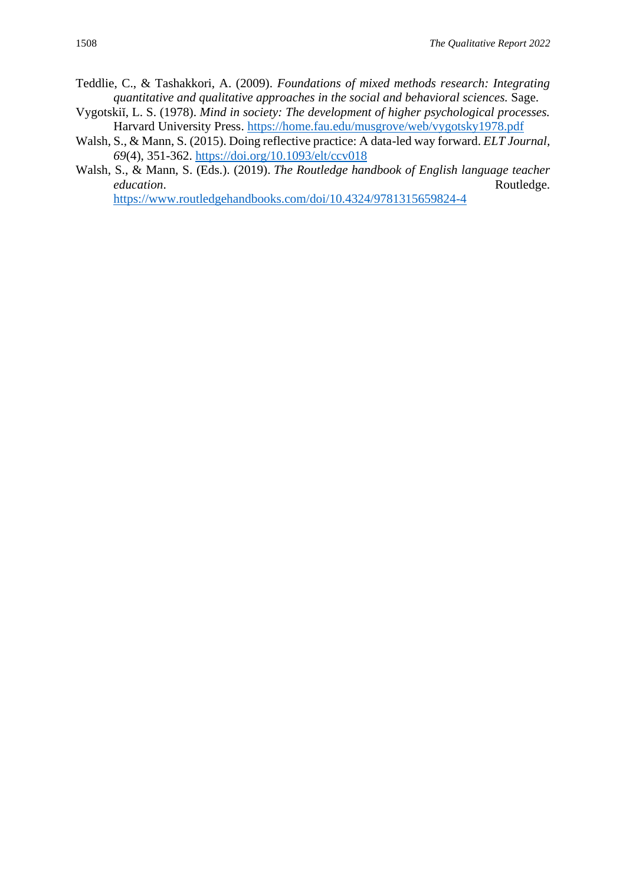- Teddlie, C., & Tashakkori, A. (2009). *Foundations of mixed methods research: Integrating quantitative and qualitative approaches in the social and behavioral sciences.* Sage.
- Vygotskiĭ, L. S. (1978). *Mind in society: The development of higher psychological processes.*  Harvard University Press.<https://home.fau.edu/musgrove/web/vygotsky1978.pdf>
- Walsh, S., & Mann, S. (2015). Doing reflective practice: A data-led way forward. *ELT Journal, 69*(4), 351-362.<https://doi.org/10.1093/elt/ccv018>
- Walsh, S., & Mann, S. (Eds.). (2019). *The Routledge handbook of English language teacher education*. Routledge.

<https://www.routledgehandbooks.com/doi/10.4324/9781315659824-4>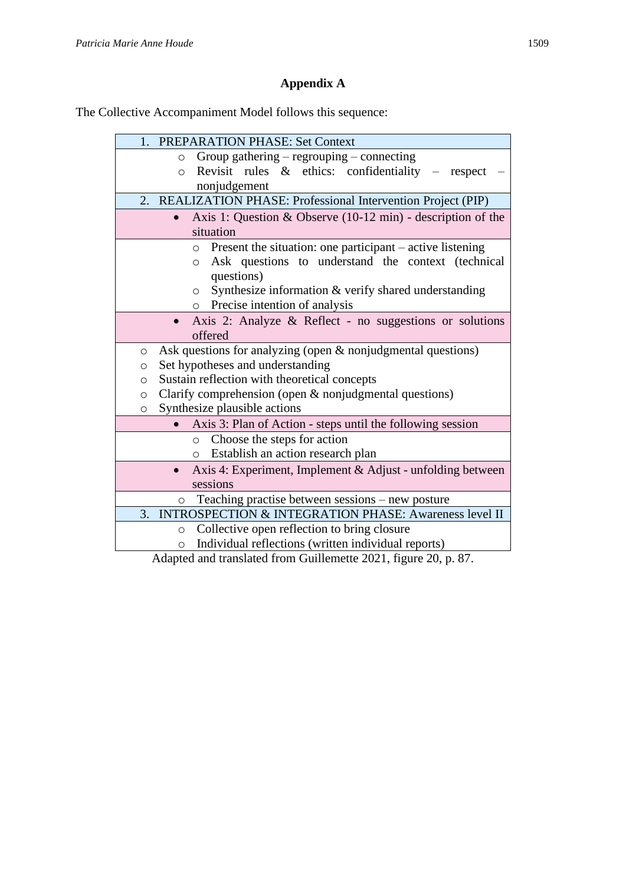# **Appendix A**

The Collective Accompaniment Model follows this sequence:

| 1. PREPARATION PHASE: Set Context                                                                                        |
|--------------------------------------------------------------------------------------------------------------------------|
| Group gathering - regrouping - connecting<br>$\circ$                                                                     |
| Revisit rules $\&$ ethics: confidentiality – respect<br>$\circ$                                                          |
| nonjudgement                                                                                                             |
| REALIZATION PHASE: Professional Intervention Project (PIP)<br>2.                                                         |
| Axis 1: Question & Observe $(10-12 \text{ min})$ - description of the                                                    |
| situation                                                                                                                |
| Present the situation: one participant – active listening<br>$\circ$                                                     |
| Ask questions to understand the context (technical<br>$\circ$                                                            |
| questions)                                                                                                               |
| Synthesize information & verify shared understanding<br>$\circ$                                                          |
| o Precise intention of analysis                                                                                          |
| Axis 2: Analyze & Reflect - no suggestions or solutions                                                                  |
| offered                                                                                                                  |
|                                                                                                                          |
| Ask questions for analyzing (open & nonjudgmental questions)<br>$\circ$                                                  |
| Set hypotheses and understanding<br>O                                                                                    |
| Sustain reflection with theoretical concepts<br>O                                                                        |
| Clarify comprehension (open & nonjudgmental questions)<br>$\circ$                                                        |
| Synthesize plausible actions<br>$\circ$                                                                                  |
| Axis 3: Plan of Action - steps until the following session                                                               |
| Choose the steps for action<br>$\circ$                                                                                   |
| o Establish an action research plan                                                                                      |
| Axis 4: Experiment, Implement & Adjust - unfolding between                                                               |
| sessions                                                                                                                 |
| Teaching practise between sessions – new posture<br>$\circ$                                                              |
| 3. INTROSPECTION & INTEGRATION PHASE: Awareness level II                                                                 |
| Collective open reflection to bring closure<br>$\circ$<br>Individual reflections (written individual reports)<br>$\circ$ |

Adapted and translated from Guillemette 2021, figure 20, p. 87.